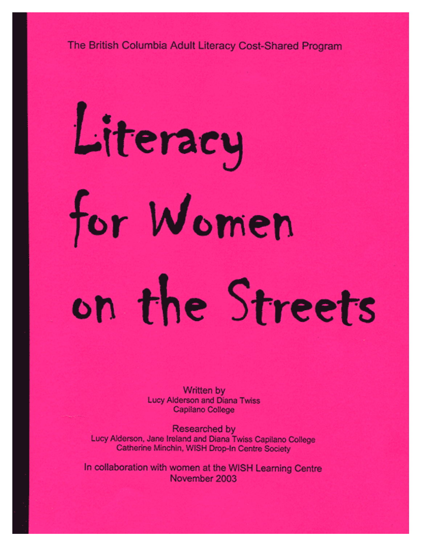The British Columbia Adult Literacy Cost-Shared Program

# Literacy for Women on the Streets

**Written by Lucy Alderson and Diana Twiss** Capilano College

Researched by Lucy Alderson, Jane Ireland and Diana Twiss Capilano College Catherine Minchin, WISH Drop-In Centre Society

In collaboration with women at the WISH Learning Centre November 2003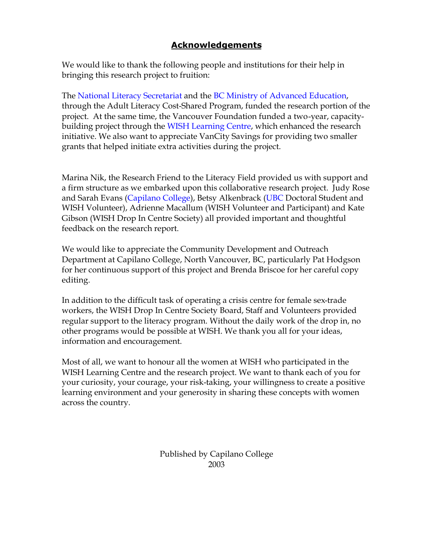## **Acknowledgements**

We would like to thank the following people and institutions for their help in bringing this research project to fruition:

The [National Literacy Secretariat](http://www.nald.ca/nls.htm) and the [BC Ministry of Advanced Education,](http://www.gov.bc.ca/bvprd/bc/channel.do?action=ministry&channelID=-8376&navId=NAV_ID_province) through the Adult Literacy Cost-Shared Program, funded the research portion of the project. At the same time, the Vancouver Foundation funded a two-year, capacitybuilding project through the [WISH Learning Centre,](http://www.wish-vancouver.net/index.php3) which enhanced the research initiative. We also want to appreciate VanCity Savings for providing two smaller grants that helped initiate extra activities during the project.

Marina Nik, the Research Friend to the Literacy Field provided us with support and a firm structure as we embarked upon this collaborative research project. Judy Rose and Sarah Evans [\(Capilano College\),](http://www.capcollege.bc.ca/index.html) Betsy Alkenbrack [\(UBC](http://www.ubc.ca/) Doctoral Student and WISH Volunteer), Adrienne Macallum (WISH Volunteer and Participant) and Kate Gibson (WISH Drop In Centre Society) all provided important and thoughtful feedback on the research report.

We would like to appreciate the Community Development and Outreach Department at Capilano College, North Vancouver, BC, particularly Pat Hodgson for her continuous support of this project and Brenda Briscoe for her careful copy editing.

In addition to the difficult task of operating a crisis centre for female sex-trade workers, the WISH Drop In Centre Society Board, Staff and Volunteers provided regular support to the literacy program. Without the daily work of the drop in, no other programs would be possible at WISH. We thank you all for your ideas, information and encouragement.

Most of all, we want to honour all the women at WISH who participated in the WISH Learning Centre and the research project. We want to thank each of you for your curiosity, your courage, your risk-taking, your willingness to create a positive learning environment and your generosity in sharing these concepts with women across the country.

> Published by Capilano College 2003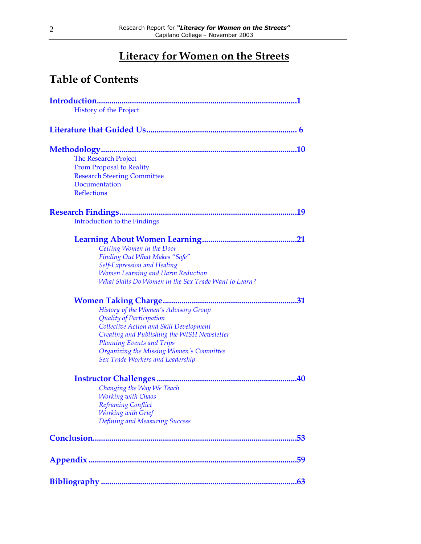# **Literacy for Women on the Streets**

# **Table of Contents**

| <b>History of the Project</b>                        |
|------------------------------------------------------|
|                                                      |
|                                                      |
| <b>The Research Project</b>                          |
| <b>From Proposal to Reality</b>                      |
| <b>Research Steering Committee</b>                   |
| Documentation                                        |
| <b>Reflections</b>                                   |
|                                                      |
| <b>Introduction to the Findings</b>                  |
|                                                      |
| Getting Women in the Door                            |
| <b>Finding Out What Makes "Safe"</b>                 |
| <b>Self-Expression and Healing</b>                   |
| <b>Women Learning and Harm Reduction</b>             |
| What Skills Do Women in the Sex Trade Want to Learn? |
|                                                      |
| History of the Women's Advisory Group                |
| Quality of Participation                             |
| Collective Action and Skill Development              |
| Creating and Publishing the WISH Newsletter          |
| <b>Planning Events and Trips</b>                     |
| Organizing the Missing Women's Committee             |
| Sex Trade Workers and Leadership                     |
|                                                      |
| Changing the Way We Teach                            |
| <b>Working with Chaos</b>                            |
| Reframing Conflict                                   |
| <b>Working with Grief</b>                            |
| Defining and Measuring Success                       |
|                                                      |
|                                                      |
|                                                      |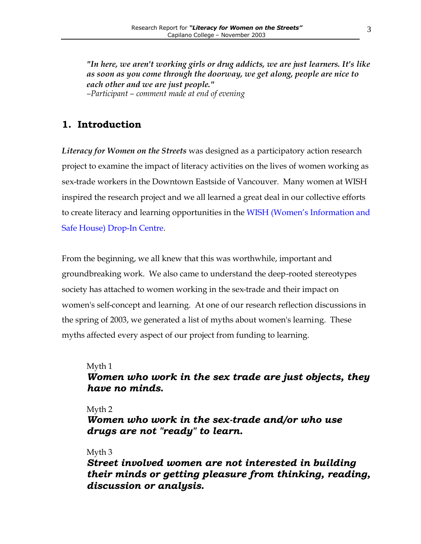<span id="page-3-0"></span>*"In here, we aren't working girls or drug addicts, we are just learners. It's like as soon as you come through the doorway, we get along, people are nice to each other and we are just people." –Participant – comment made at end of evening*

## **1. Introduction**

*Literacy for Women on the Streets* was designed as a participatory action research project to examine the impact of literacy activities on the lives of women working as sex-trade workers in the Downtown Eastside of Vancouver. Many women at WISH inspired the research project and we all learned a great deal in our collective efforts to create literacy and learning opportunities in the [WISH \(Women's Information and](http://www.wish-vancouver.net/index.php3) [Safe House\) Drop-In Centre.](http://www.wish-vancouver.net/index.php3) 

From the beginning, we all knew that this was worthwhile, important and groundbreaking work. We also came to understand the deep-rooted stereotypes society has attached to women working in the sex-trade and their impact on women's self-concept and learning. At one of our research reflection discussions in the spring of 2003, we generated a list of myths about women's learning. These myths affected every aspect of our project from funding to learning.

#### Myth 1

## *Women who work in the sex trade are just objects, they have no minds.*

#### Myth 2

*Women who work in the sex-trade and/or who use drugs are not "ready" to learn.*

#### Myth 3

*Street involved women are not interested in building their minds or getting pleasure from thinking, reading, discussion or analysis.*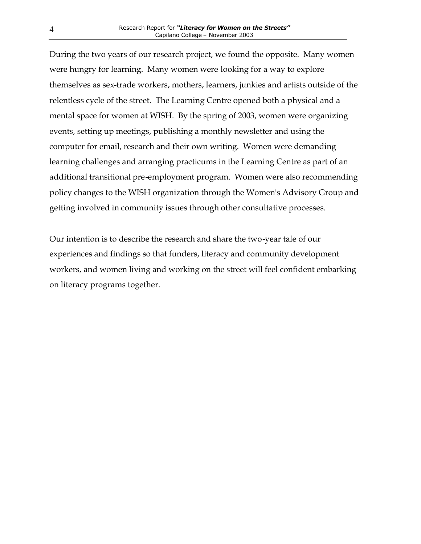During the two years of our research project, we found the opposite. Many women were hungry for learning. Many women were looking for a way to explore themselves as sex-trade workers, mothers, learners, junkies and artists outside of the relentless cycle of the street. The Learning Centre opened both a physical and a mental space for women at WISH. By the spring of 2003, women were organizing events, setting up meetings, publishing a monthly newsletter and using the computer for email, research and their own writing. Women were demanding learning challenges and arranging practicums in the Learning Centre as part of an additional transitional pre-employment program. Women were also recommending policy changes to the WISH organization through the Women's Advisory Group and getting involved in community issues through other consultative processes.

Our intention is to describe the research and share the two-year tale of our experiences and findings so that funders, literacy and community development workers, and women living and working on the street will feel confident embarking on literacy programs together.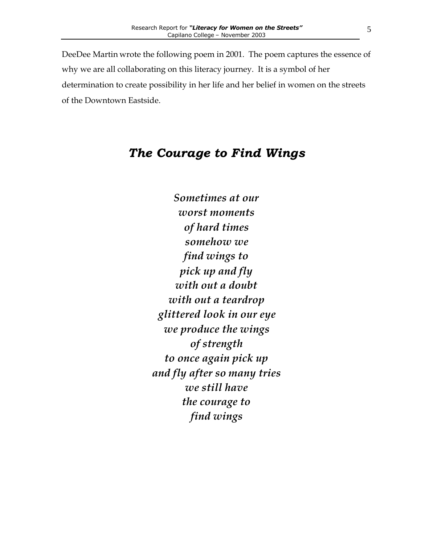DeeDee Martin wrote the following poem in 2001. The poem captures the essence of why we are all collaborating on this literacy journey. It is a symbol of her determination to create possibility in her life and her belief in women on the streets of the Downtown Eastside.

# *The Courage to Find Wings*

*Sometimes at our worst moments of hard times somehow we find wings to pick up and fly with out a doubt with out a teardrop glittered look in our eye we produce the wings of strength to once again pick up and fly after so many tries we still have the courage to find wings*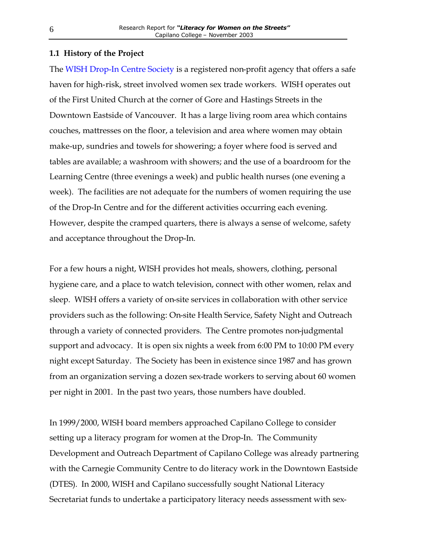#### <span id="page-6-0"></span>**1.1 History of the Project**

The [WISH Drop-In Centre Society](http://www.wish-vancouver.net/index.php3) is a registered non-profit agency that offers a safe haven for high-risk, street involved women sex trade workers. WISH operates out of the First United Church at the corner of Gore and Hastings Streets in the Downtown Eastside of Vancouver. It has a large living room area which contains couches, mattresses on the floor, a television and area where women may obtain make-up, sundries and towels for showering; a foyer where food is served and tables are available; a washroom with showers; and the use of a boardroom for the Learning Centre (three evenings a week) and public health nurses (one evening a week). The facilities are not adequate for the numbers of women requiring the use of the Drop-In Centre and for the different activities occurring each evening. However, despite the cramped quarters, there is always a sense of welcome, safety and acceptance throughout the Drop-In.

For a few hours a night, WISH provides hot meals, showers, clothing, personal hygiene care, and a place to watch television, connect with other women, relax and sleep. WISH offers a variety of on-site services in collaboration with other service providers such as the following: On-site Health Service, Safety Night and Outreach through a variety of connected providers. The Centre promotes non-judgmental support and advocacy. It is open six nights a week from 6:00 PM to 10:00 PM every night except Saturday. The Society has been in existence since 1987 and has grown from an organization serving a dozen sex-trade workers to serving about 60 women per night in 2001. In the past two years, those numbers have doubled.

In 1999/2000, WISH board members approached Capilano College to consider setting up a literacy program for women at the Drop-In. The Community Development and Outreach Department of Capilano College was already partnering with the Carnegie Community Centre to do literacy work in the Downtown Eastside (DTES). In 2000, WISH and Capilano successfully sought National Literacy Secretariat funds to undertake a participatory literacy needs assessment with sex-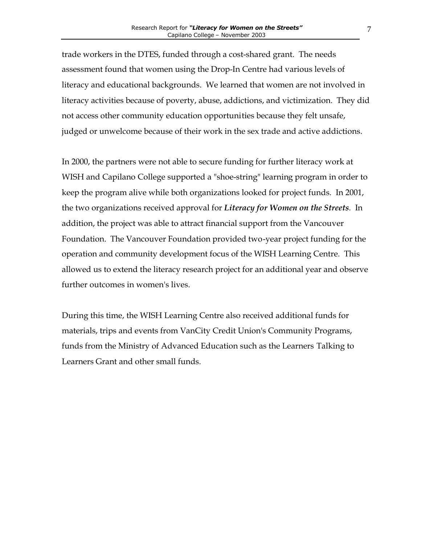trade workers in the DTES, funded through a cost-shared grant. The needs assessment found that women using the Drop-In Centre had various levels of literacy and educational backgrounds. We learned that women are not involved in literacy activities because of poverty, abuse, addictions, and victimization. They did not access other community education opportunities because they felt unsafe, judged or unwelcome because of their work in the sex trade and active addictions.

In 2000, the partners were not able to secure funding for further literacy work at WISH and Capilano College supported a "shoe-string" learning program in order to keep the program alive while both organizations looked for project funds. In 2001, the two organizations received approval for *Literacy for Women on the Streets.* In addition, the project was able to attract financial support from the Vancouver Foundation. The Vancouver Foundation provided two-year project funding for the operation and community development focus of the WISH Learning Centre. This allowed us to extend the literacy research project for an additional year and observe further outcomes in women's lives.

During this time, the WISH Learning Centre also received additional funds for materials, trips and events from VanCity Credit Union's Community Programs, funds from the Ministry of Advanced Education such as the Learners Talking to Learners Grant and other small funds.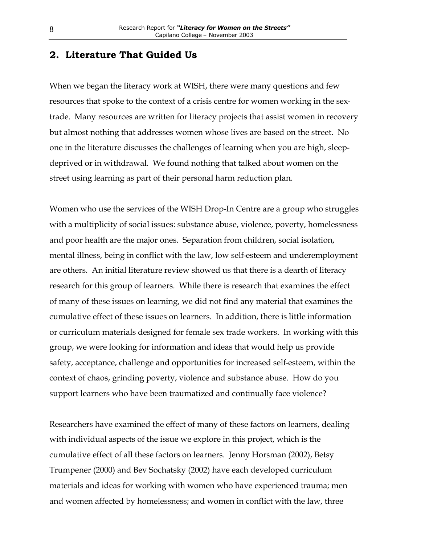#### <span id="page-8-0"></span>**2. Literature That Guided Us**

When we began the literacy work at WISH, there were many questions and few resources that spoke to the context of a crisis centre for women working in the sextrade. Many resources are written for literacy projects that assist women in recovery but almost nothing that addresses women whose lives are based on the street. No one in the literature discusses the challenges of learning when you are high, sleepdeprived or in withdrawal. We found nothing that talked about women on the street using learning as part of their personal harm reduction plan.

Women who use the services of the WISH Drop-In Centre are a group who struggles with a multiplicity of social issues: substance abuse, violence, poverty, homelessness and poor health are the major ones. Separation from children, social isolation, mental illness, being in conflict with the law, low self-esteem and underemployment are others. An initial literature review showed us that there is a dearth of literacy research for this group of learners. While there is research that examines the effect of many of these issues on learning, we did not find any material that examines the cumulative effect of these issues on learners. In addition, there is little information or curriculum materials designed for female sex trade workers. In working with this group, we were looking for information and ideas that would help us provide safety, acceptance, challenge and opportunities for increased self-esteem, within the context of chaos, grinding poverty, violence and substance abuse. How do you support learners who have been traumatized and continually face violence?

Researchers have examined the effect of many of these factors on learners, dealing with individual aspects of the issue we explore in this project, which is the cumulative effect of all these factors on learners. Jenny Horsman (2002), Betsy Trumpener (2000) and Bev Sochatsky (2002) have each developed curriculum materials and ideas for working with women who have experienced trauma; men and women affected by homelessness; and women in conflict with the law, three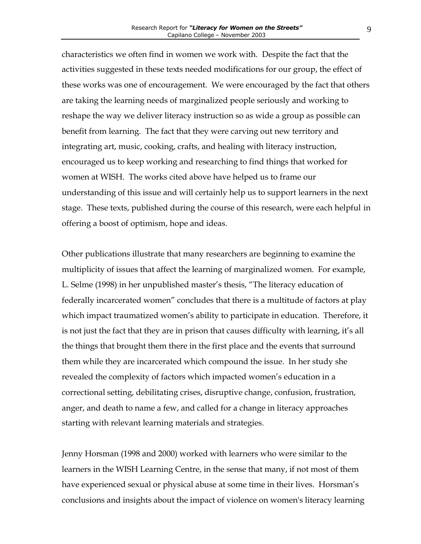characteristics we often find in women we work with. Despite the fact that the activities suggested in these texts needed modifications for our group, the effect of these works was one of encouragement. We were encouraged by the fact that others are taking the learning needs of marginalized people seriously and working to reshape the way we deliver literacy instruction so as wide a group as possible can benefit from learning. The fact that they were carving out new territory and integrating art, music, cooking, crafts, and healing with literacy instruction, encouraged us to keep working and researching to find things that worked for women at WISH. The works cited above have helped us to frame our understanding of this issue and will certainly help us to support learners in the next stage. These texts, published during the course of this research, were each helpful in offering a boost of optimism, hope and ideas.

Other publications illustrate that many researchers are beginning to examine the multiplicity of issues that affect the learning of marginalized women. For example, L. Selme (1998) in her unpublished master's thesis, "The literacy education of federally incarcerated women" concludes that there is a multitude of factors at play which impact traumatized women's ability to participate in education. Therefore, it is not just the fact that they are in prison that causes difficulty with learning, it's all the things that brought them there in the first place and the events that surround them while they are incarcerated which compound the issue. In her study she revealed the complexity of factors which impacted women's education in a correctional setting, debilitating crises, disruptive change, confusion, frustration, anger, and death to name a few, and called for a change in literacy approaches starting with relevant learning materials and strategies.

Jenny Horsman (1998 and 2000) worked with learners who were similar to the learners in the WISH Learning Centre, in the sense that many, if not most of them have experienced sexual or physical abuse at some time in their lives. Horsman's conclusions and insights about the impact of violence on women's literacy learning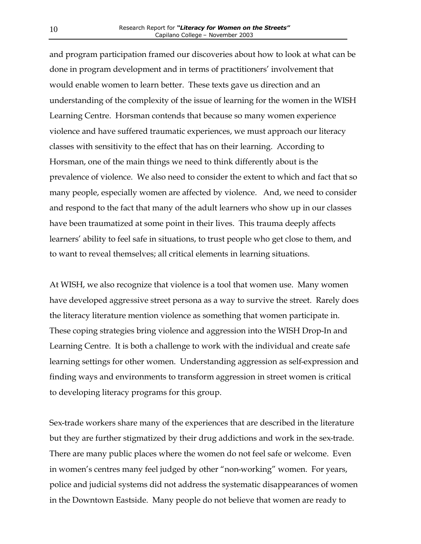and program participation framed our discoveries about how to look at what can be done in program development and in terms of practitioners' involvement that would enable women to learn better. These texts gave us direction and an understanding of the complexity of the issue of learning for the women in the WISH Learning Centre. Horsman contends that because so many women experience violence and have suffered traumatic experiences, we must approach our literacy classes with sensitivity to the effect that has on their learning. According to Horsman, one of the main things we need to think differently about is the prevalence of violence. We also need to consider the extent to which and fact that so many people, especially women are affected by violence. And, we need to consider and respond to the fact that many of the adult learners who show up in our classes have been traumatized at some point in their lives. This trauma deeply affects learners' ability to feel safe in situations, to trust people who get close to them, and to want to reveal themselves; all critical elements in learning situations.

At WISH, we also recognize that violence is a tool that women use. Many women have developed aggressive street persona as a way to survive the street. Rarely does the literacy literature mention violence as something that women participate in. These coping strategies bring violence and aggression into the WISH Drop-In and Learning Centre. It is both a challenge to work with the individual and create safe learning settings for other women. Understanding aggression as self-expression and finding ways and environments to transform aggression in street women is critical to developing literacy programs for this group.

Sex-trade workers share many of the experiences that are described in the literature but they are further stigmatized by their drug addictions and work in the sex-trade. There are many public places where the women do not feel safe or welcome. Even in women's centres many feel judged by other "non-working" women. For years, police and judicial systems did not address the systematic disappearances of women in the Downtown Eastside. Many people do not believe that women are ready to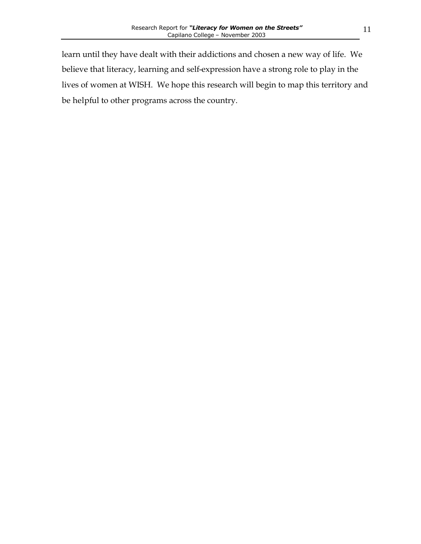11

learn until they have dealt with their addictions and chosen a new way of life. We believe that literacy, learning and self-expression have a strong role to play in the lives of women at WISH. We hope this research will begin to map this territory and be helpful to other programs across the country.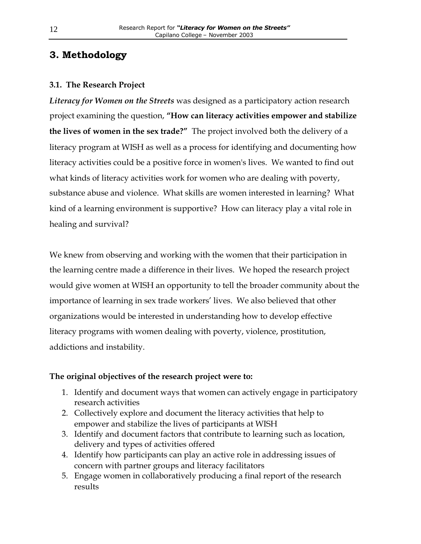## <span id="page-12-0"></span>**3. Methodology**

#### **3.1. The Research Project**

*Literacy for Women on the Streets* was designed as a participatory action research project examining the question, **"How can literacy activities empower and stabilize the lives of women in the sex trade?"** The project involved both the delivery of a literacy program at WISH as well as a process for identifying and documenting how literacy activities could be a positive force in women's lives. We wanted to find out what kinds of literacy activities work for women who are dealing with poverty, substance abuse and violence. What skills are women interested in learning? What kind of a learning environment is supportive? How can literacy play a vital role in healing and survival?

We knew from observing and working with the women that their participation in the learning centre made a difference in their lives. We hoped the research project would give women at WISH an opportunity to tell the broader community about the importance of learning in sex trade workers' lives. We also believed that other organizations would be interested in understanding how to develop effective literacy programs with women dealing with poverty, violence, prostitution, addictions and instability.

#### **The original objectives of the research project were to:**

- 1. Identify and document ways that women can actively engage in participatory research activities
- 2. Collectively explore and document the literacy activities that help to empower and stabilize the lives of participants at WISH
- 3. Identify and document factors that contribute to learning such as location, delivery and types of activities offered
- 4. Identify how participants can play an active role in addressing issues of concern with partner groups and literacy facilitators
- 5. Engage women in collaboratively producing a final report of the research results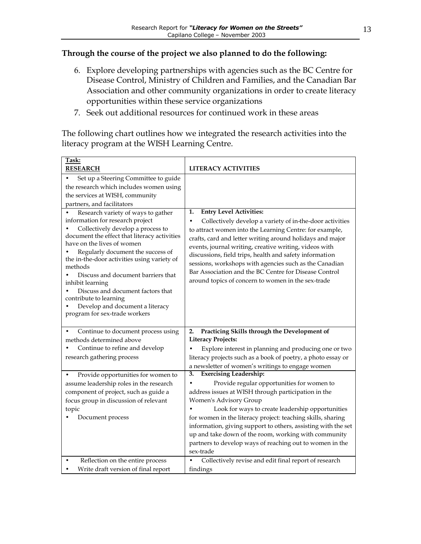#### **Through the course of the project we also planned to do the following:**

- 6. Explore developing partnerships with agencies such as the BC Centre for Disease Control, Ministry of Children and Families, and the Canadian Bar Association and other community organizations in order to create literacy opportunities within these service organizations
- 7. Seek out additional resources for continued work in these areas

The following chart outlines how we integrated the research activities into the literacy program at the WISH Learning Centre.

| Task:<br><b>RESEARCH</b>                                                                                                                                                                                                                                                                                                                                                                                                                                                              | <b>LITERACY ACTIVITIES</b>                                                                                                                                                                                                                                                                                                                                                                                                                                                                                             |
|---------------------------------------------------------------------------------------------------------------------------------------------------------------------------------------------------------------------------------------------------------------------------------------------------------------------------------------------------------------------------------------------------------------------------------------------------------------------------------------|------------------------------------------------------------------------------------------------------------------------------------------------------------------------------------------------------------------------------------------------------------------------------------------------------------------------------------------------------------------------------------------------------------------------------------------------------------------------------------------------------------------------|
| Set up a Steering Committee to guide<br>the research which includes women using<br>the services at WISH, community<br>partners, and facilitators                                                                                                                                                                                                                                                                                                                                      |                                                                                                                                                                                                                                                                                                                                                                                                                                                                                                                        |
| Research variety of ways to gather<br>information for research project<br>Collectively develop a process to<br>document the effect that literacy activities<br>have on the lives of women<br>Regularly document the success of<br>the in-the-door activities using variety of<br>methods<br>Discuss and document barriers that<br>inhibit learning<br>Discuss and document factors that<br>contribute to learning<br>Develop and document a literacy<br>program for sex-trade workers | <b>Entry Level Activities:</b><br>1.<br>Collectively develop a variety of in-the-door activities<br>to attract women into the Learning Centre: for example,<br>crafts, card and letter writing around holidays and major<br>events, journal writing, creative writing, videos with<br>discussions, field trips, health and safety information<br>sessions, workshops with agencies such as the Canadian<br>Bar Association and the BC Centre for Disease Control<br>around topics of concern to women in the sex-trade |
| Continue to document process using<br>methods determined above<br>Continue to refine and develop<br>research gathering process                                                                                                                                                                                                                                                                                                                                                        | Practicing Skills through the Development of<br>2.<br><b>Literacy Projects:</b><br>Explore interest in planning and producing one or two<br>literacy projects such as a book of poetry, a photo essay or<br>a newsletter of women's writings to engage women                                                                                                                                                                                                                                                           |
| Provide opportunities for women to<br>assume leadership roles in the research<br>component of project, such as guide a<br>focus group in discussion of relevant<br>topic<br>Document process                                                                                                                                                                                                                                                                                          | <b>Exercising Leadership:</b><br>3.<br>Provide regular opportunities for women to<br>address issues at WISH through participation in the<br>Women's Advisory Group<br>Look for ways to create leadership opportunities<br>for women in the literacy project: teaching skills, sharing<br>information, giving support to others, assisting with the set<br>up and take down of the room, working with community<br>partners to develop ways of reaching out to women in the<br>sex-trade                                |
| Reflection on the entire process<br>Write draft version of final report                                                                                                                                                                                                                                                                                                                                                                                                               | Collectively revise and edit final report of research<br>findings                                                                                                                                                                                                                                                                                                                                                                                                                                                      |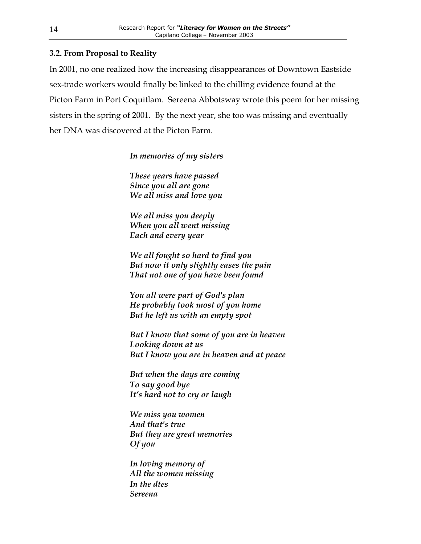#### <span id="page-14-0"></span>**3.2. From Proposal to Reality**

In 2001, no one realized how the increasing disappearances of Downtown Eastside sex-trade workers would finally be linked to the chilling evidence found at the Picton Farm in Port Coquitlam. Sereena Abbotsway wrote this poem for her missing sisters in the spring of 2001. By the next year, she too was missing and eventually her DNA was discovered at the Picton Farm.

*In memories of my sisters*

*These years have passed Since you all are gone We all miss and love you*

*We all miss you deeply When you all went missing Each and every year*

*We all fought so hard to find you But now it only slightly eases the pain That not one of you have been found*

*You all were part of God's plan He probably took most of you home But he left us with an empty spot*

*But I know that some of you are in heaven Looking down at us But I know you are in heaven and at peace*

*But when the days are coming To say good bye It's hard not to cry or laugh*

*We miss you women And that's true But they are great memories Of you*

*In loving memory of All the women missing In the dtes Sereena*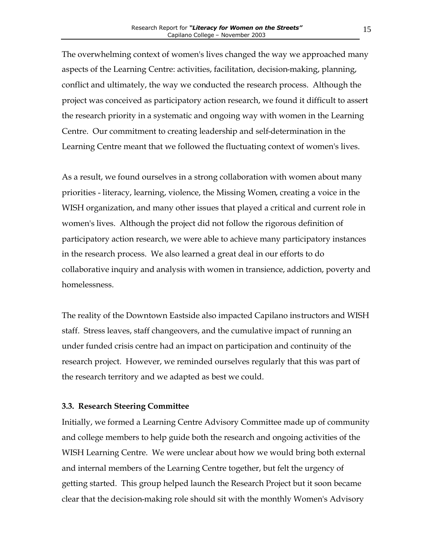<span id="page-15-0"></span>The overwhelming context of women's lives changed the way we approached many aspects of the Learning Centre: activities, facilitation, decision-making, planning, conflict and ultimately, the way we conducted the research process. Although the project was conceived as participatory action research, we found it difficult to assert the research priority in a systematic and ongoing way with women in the Learning Centre. Our commitment to creating leadership and self-determination in the Learning Centre meant that we followed the fluctuating context of women's lives.

As a result, we found ourselves in a strong collaboration with women about many priorities - literacy, learning, violence, the Missing Women, creating a voice in the WISH organization, and many other issues that played a critical and current role in women's lives. Although the project did not follow the rigorous definition of participatory action research, we were able to achieve many participatory instances in the research process. We also learned a great deal in our efforts to do collaborative inquiry and analysis with women in transience, addiction, poverty and homelessness.

The reality of the Downtown Eastside also impacted Capilano instructors and WISH staff. Stress leaves, staff changeovers, and the cumulative impact of running an under funded crisis centre had an impact on participation and continuity of the research project. However, we reminded ourselves regularly that this was part of the research territory and we adapted as best we could.

#### **3.3. Research Steering Committee**

Initially, we formed a Learning Centre Advisory Committee made up of community and college members to help guide both the research and ongoing activities of the WISH Learning Centre. We were unclear about how we would bring both external and internal members of the Learning Centre together, but felt the urgency of getting started. This group helped launch the Research Project but it soon became clear that the decision-making role should sit with the monthly Women's Advisory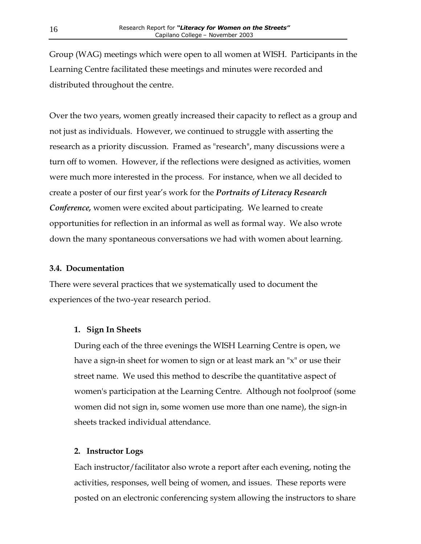<span id="page-16-0"></span>Group (WAG) meetings which were open to all women at WISH. Participants in the Learning Centre facilitated these meetings and minutes were recorded and distributed throughout the centre.

Over the two years, women greatly increased their capacity to reflect as a group and not just as individuals. However, we continued to struggle with asserting the research as a priority discussion. Framed as "research", many discussions were a turn off to women. However, if the reflections were designed as activities, women were much more interested in the process. For instance, when we all decided to create a poster of our first year's work for the *Portraits of Literacy Research Conference,* women were excited about participating. We learned to create opportunities for reflection in an informal as well as formal way. We also wrote down the many spontaneous conversations we had with women about learning.

#### **3.4. Documentation**

There were several practices that we systematically used to document the experiences of the two-year research period.

#### **1. Sign In Sheets**

During each of the three evenings the WISH Learning Centre is open, we have a sign-in sheet for women to sign or at least mark an "x" or use their street name. We used this method to describe the quantitative aspect of women's participation at the Learning Centre. Although not foolproof (some women did not sign in, some women use more than one name), the sign-in sheets tracked individual attendance.

#### **2. Instructor Logs**

Each instructor/facilitator also wrote a report after each evening, noting the activities, responses, well being of women, and issues. These reports were posted on an electronic conferencing system allowing the instructors to share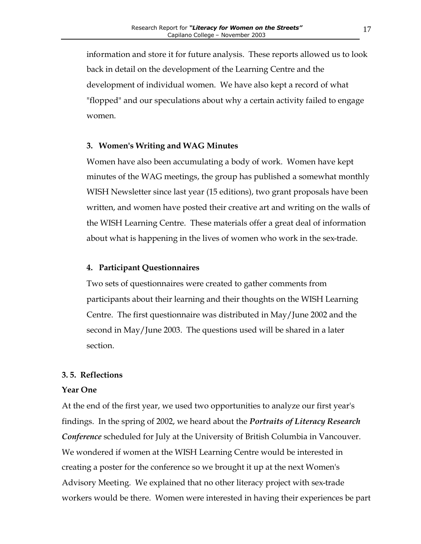<span id="page-17-0"></span>information and store it for future analysis. These reports allowed us to look back in detail on the development of the Learning Centre and the development of individual women. We have also kept a record of what "flopped" and our speculations about why a certain activity failed to engage women.

#### **3. Women's Writing and WAG Minutes**

Women have also been accumulating a body of work. Women have kept minutes of the WAG meetings, the group has published a somewhat monthly WISH Newsletter since last year (15 editions), two grant proposals have been written, and women have posted their creative art and writing on the walls of the WISH Learning Centre. These materials offer a great deal of information about what is happening in the lives of women who work in the sex-trade.

#### **4. Participant Questionnaires**

Two sets of questionnaires were created to gather comments from participants about their learning and their thoughts on the WISH Learning Centre. The first questionnaire was distributed in May/June 2002 and the second in May/June 2003. The questions used will be shared in a later section.

#### **3. 5. Reflections**

#### **Year One**

At the end of the first year, we used two opportunities to analyze our first year's findings. In the spring of 2002, we heard about the *Portraits of Literacy Research Conference* scheduled for July at the University of British Columbia in Vancouver. We wondered if women at the WISH Learning Centre would be interested in creating a poster for the conference so we brought it up at the next Women's Advisory Meeting. We explained that no other literacy project with sex-trade workers would be there. Women were interested in having their experiences be part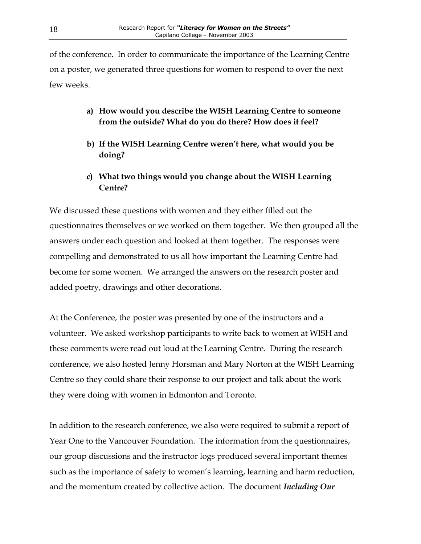of the conference. In order to communicate the importance of the Learning Centre on a poster, we generated three questions for women to respond to over the next few weeks.

- **a) How would you describe the WISH Learning Centre to someone from the outside? What do you do there? How does it feel?**
- **b) If the WISH Learning Centre weren't here, what would you be doing?**
- **c) What two things would you change about the WISH Learning Centre?**

We discussed these questions with women and they either filled out the questionnaires themselves or we worked on them together. We then grouped all the answers under each question and looked at them together. The responses were compelling and demonstrated to us all how important the Learning Centre had become for some women. We arranged the answers on the research poster and added poetry, drawings and other decorations.

At the Conference, the poster was presented by one of the instructors and a volunteer. We asked workshop participants to write back to women at WISH and these comments were read out loud at the Learning Centre. During the research conference, we also hosted Jenny Horsman and Mary Norton at the WISH Learning Centre so they could share their response to our project and talk about the work they were doing with women in Edmonton and Toronto.

In addition to the research conference, we also were required to submit a report of Year One to the Vancouver Foundation. The information from the questionnaires, our group discussions and the instructor logs produced several important themes such as the importance of safety to women's learning, learning and harm reduction, and the momentum created by collective action. The document *Including Our*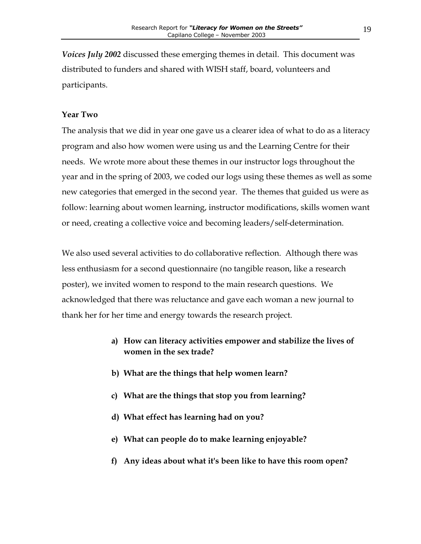*Voices July 2002* discussed these emerging themes in detail. This document was distributed to funders and shared with WISH staff, board, volunteers and participants.

#### **Year Two**

The analysis that we did in year one gave us a clearer idea of what to do as a literacy program and also how women were using us and the Learning Centre for their needs. We wrote more about these themes in our instructor logs throughout the year and in the spring of 2003, we coded our logs using these themes as well as some new categories that emerged in the second year. The themes that guided us were as follow: learning about women learning, instructor modifications, skills women want or need, creating a collective voice and becoming leaders/self-determination.

We also used several activities to do collaborative reflection. Although there was less enthusiasm for a second questionnaire (no tangible reason, like a research poster), we invited women to respond to the main research questions. We acknowledged that there was reluctance and gave each woman a new journal to thank her for her time and energy towards the research project.

- **a) How can literacy activities empower and stabilize the lives of women in the sex trade?**
- **b) What are the things that help women learn?**
- **c) What are the things that stop you from learning?**
- **d) What effect has learning had on you?**
- **e) What can people do to make learning enjoyable?**
- **f) Any ideas about what it's been like to have this room open?**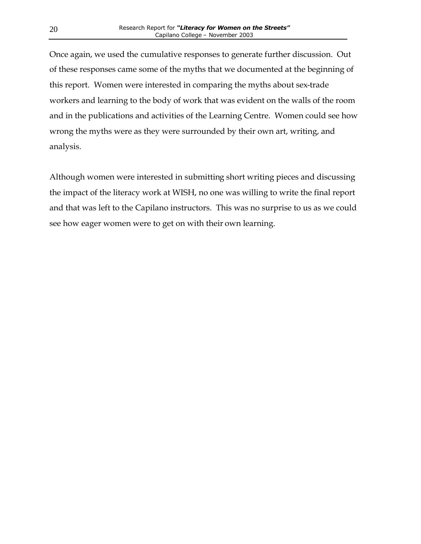Once again, we used the cumulative responses to generate further discussion. Out of these responses came some of the myths that we documented at the beginning of this report. Women were interested in comparing the myths about sex-trade workers and learning to the body of work that was evident on the walls of the room and in the publications and activities of the Learning Centre. Women could see how wrong the myths were as they were surrounded by their own art, writing, and analysis.

Although women were interested in submitting short writing pieces and discussing the impact of the literacy work at WISH, no one was willing to write the final report and that was left to the Capilano instructors. This was no surprise to us as we could see how eager women were to get on with their own learning.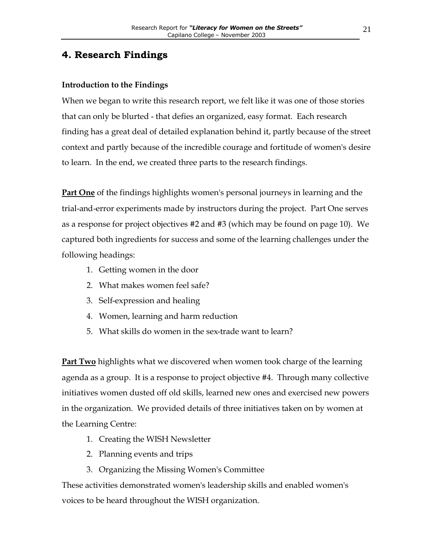## <span id="page-21-0"></span>**4. Research Findings**

#### **Introduction to the Findings**

When we began to write this research report, we felt like it was one of those stories that can only be blurted - that defies an organized, easy format. Each research finding has a great deal of detailed explanation behind it, partly because of the street context and partly because of the incredible courage and fortitude of women's desire to learn. In the end, we created three parts to the research findings.

**Part One** of the findings highlights women's personal journeys in learning and the trial-and-error experiments made by instructors during the project. Part One serves as a response for project objectives #2 and #3 (which may be found on page 10). We captured both ingredients for success and some of the learning challenges under the following headings:

- 1. Getting women in the door
- 2. What makes women feel safe?
- 3. Self-expression and healing
- 4. Women, learning and harm reduction
- 5. What skills do women in the sex-trade want to learn?

**Part Two** highlights what we discovered when women took charge of the learning agenda as a group. It is a response to project objective #4. Through many collective initiatives women dusted off old skills, learned new ones and exercised new powers in the organization. We provided details of three initiatives taken on by women at the Learning Centre:

- 1. Creating the WISH Newsletter
- 2. Planning events and trips
- 3. Organizing the Missing Women's Committee

These activities demonstrated women's leadership skills and enabled women's voices to be heard throughout the WISH organization.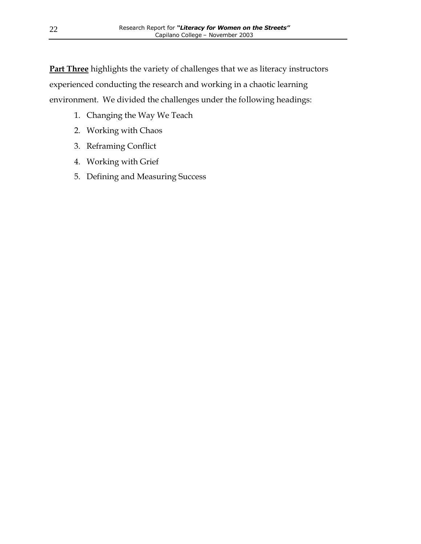**Part Three** highlights the variety of challenges that we as literacy instructors experienced conducting the research and working in a chaotic learning environment. We divided the challenges under the following headings:

- 1. Changing the Way We Teach
- 2. Working with Chaos
- 3. Reframing Conflict
- 4. Working with Grief
- 5. Defining and Measuring Success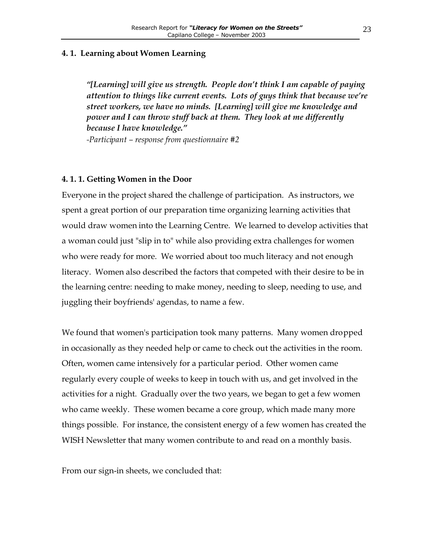#### <span id="page-23-0"></span>**4. 1. Learning about Women Learning**

*"[Learning] will give us strength. People don't think I am capable of paying attention to things like current events. Lots of guys think that because we're street workers, we have no minds. [Learning] will give me knowledge and power and I can throw stuff back at them. They look at me differently because I have knowledge."* 

*-Participant – response from questionnaire #2*

#### **4. 1. 1. Getting Women in the Door**

Everyone in the project shared the challenge of participation. As instructors, we spent a great portion of our preparation time organizing learning activities that would draw women into the Learning Centre. We learned to develop activities that a woman could just "slip in to" while also providing extra challenges for women who were ready for more. We worried about too much literacy and not enough literacy. Women also described the factors that competed with their desire to be in the learning centre: needing to make money, needing to sleep, needing to use, and juggling their boyfriends' agendas, to name a few.

We found that women's participation took many patterns. Many women dropped in occasionally as they needed help or came to check out the activities in the room. Often, women came intensively for a particular period. Other women came regularly every couple of weeks to keep in touch with us, and get involved in the activities for a night. Gradually over the two years, we began to get a few women who came weekly. These women became a core group, which made many more things possible. For instance, the consistent energy of a few women has created the WISH Newsletter that many women contribute to and read on a monthly basis.

From our sign-in sheets, we concluded that: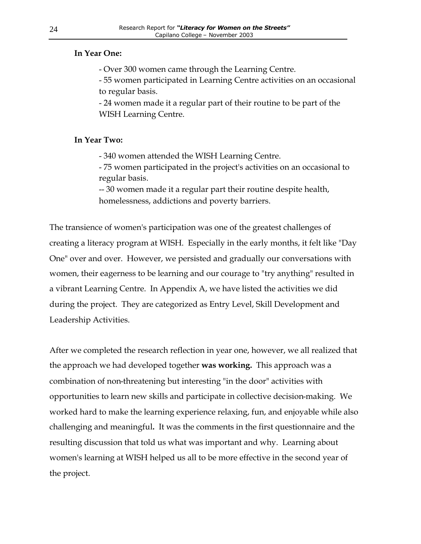#### **In Year One:**

- Over 300 women came through the Learning Centre.

- 55 women participated in Learning Centre activities on an occasional to regular basis.

- 24 women made it a regular part of their routine to be part of the WISH Learning Centre.

#### **In Year Two:**

- 340 women attended the WISH Learning Centre.

- 75 women participated in the project's activities on an occasional to regular basis.

-- 30 women made it a regular part their routine despite health, homelessness, addictions and poverty barriers.

The transience of women's participation was one of the greatest challenges of creating a literacy program at WISH. Especially in the early months, it felt like "Day One" over and over. However, we persisted and gradually our conversations with women, their eagerness to be learning and our courage to "try anything" resulted in a vibrant Learning Centre. In Appendix A, we have listed the activities we did during the project. They are categorized as Entry Level, Skill Development and Leadership Activities.

After we completed the research reflection in year one, however, we all realized that the approach we had developed together **was working.** This approach was a combination of non-threatening but interesting "in the door" activities with opportunities to learn new skills and participate in collective decision-making. We worked hard to make the learning experience relaxing, fun, and enjoyable while also challenging and meaningful**.** It was the comments in the first questionnaire and the resulting discussion that told us what was important and why. Learning about women's learning at WISH helped us all to be more effective in the second year of the project.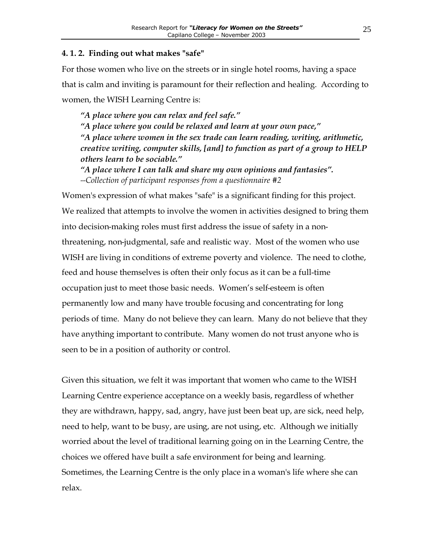#### <span id="page-25-0"></span>**4. 1. 2. Finding out what makes "safe"**

For those women who live on the streets or in single hotel rooms, having a space that is calm and inviting is paramount for their reflection and healing. According to women, the WISH Learning Centre is:

*"A place where you can relax and feel safe." "A place where you could be relaxed and learn at your own pace," "A place where women in the sex trade can learn reading, writing, arithmetic, creative writing, computer skills, [and] to function as part of a group to HELP others learn to be sociable."* 

*"A place where I can talk and share my own opinions and fantasies". --Collection of participant responses from a questionnaire #2* 

Women's expression of what makes "safe" is a significant finding for this project. We realized that attempts to involve the women in activities designed to bring them into decision-making roles must first address the issue of safety in a nonthreatening, non-judgmental, safe and realistic way. Most of the women who use WISH are living in conditions of extreme poverty and violence. The need to clothe, feed and house themselves is often their only focus as it can be a full-time occupation just to meet those basic needs. Women's self-esteem is often permanently low and many have trouble focusing and concentrating for long periods of time. Many do not believe they can learn. Many do not believe that they have anything important to contribute. Many women do not trust anyone who is seen to be in a position of authority or control.

Given this situation, we felt it was important that women who came to the WISH Learning Centre experience acceptance on a weekly basis, regardless of whether they are withdrawn, happy, sad, angry, have just been beat up, are sick, need help, need to help, want to be busy, are using, are not using, etc. Although we initially worried about the level of traditional learning going on in the Learning Centre, the choices we offered have built a safe environment for being and learning. Sometimes, the Learning Centre is the only place in a woman's life where she can relax.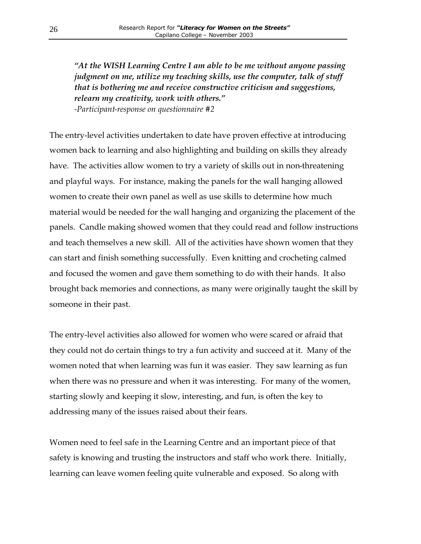*"At the WISH Learning Centre I am able to be me without anyone passing judgment on me, utilize my teaching skills, use the computer, talk of stuff that is bothering me and receive constructive criticism and suggestions, relearn my creativity, work with others." -Participant-response on questionnaire #2*

The entry-level activities undertaken to date have proven effective at introducing women back to learning and also highlighting and building on skills they already have. The activities allow women to try a variety of skills out in non-threatening and playful ways. For instance, making the panels for the wall hanging allowed women to create their own panel as well as use skills to determine how much material would be needed for the wall hanging and organizing the placement of the panels. Candle making showed women that they could read and follow instructions and teach themselves a new skill. All of the activities have shown women that they can start and finish something successfully. Even knitting and crocheting calmed and focused the women and gave them something to do with their hands. It also brought back memories and connections, as many were originally taught the skill by someone in their past.

The entry-level activities also allowed for women who were scared or afraid that they could not do certain things to try a fun activity and succeed at it. Many of the women noted that when learning was fun it was easier. They saw learning as fun when there was no pressure and when it was interesting. For many of the women, starting slowly and keeping it slow, interesting, and fun, is often the key to addressing many of the issues raised about their fears.

Women need to feel safe in the Learning Centre and an important piece of that safety is knowing and trusting the instructors and staff who work there. Initially, learning can leave women feeling quite vulnerable and exposed. So along with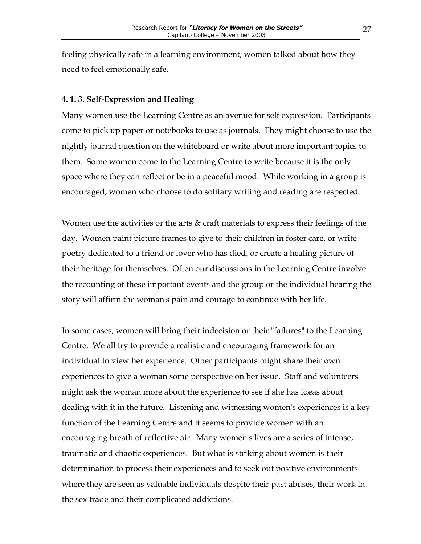<span id="page-27-0"></span>feeling physically safe in a learning environment, women talked about how they need to feel emotionally safe.

#### **4. 1. 3. Self-Expression and Healing**

Many women use the Learning Centre as an avenue for self-expression. Participants come to pick up paper or notebooks to use as journals. They might choose to use the nightly journal question on the whiteboard or write about more important topics to them. Some women come to the Learning Centre to write because it is the only space where they can reflect or be in a peaceful mood. While working in a group is encouraged, women who choose to do solitary writing and reading are respected.

Women use the activities or the arts  $\&$  craft materials to express their feelings of the day. Women paint picture frames to give to their children in foster care, or write poetry dedicated to a friend or lover who has died, or create a healing picture of their heritage for themselves. Often our discussions in the Learning Centre involve the recounting of these important events and the group or the individual hearing the story will affirm the woman's pain and courage to continue with her life.

In some cases, women will bring their indecision or their "failures" to the Learning Centre. We all try to provide a realistic and encouraging framework for an individual to view her experience. Other participants might share their own experiences to give a woman some perspective on her issue. Staff and volunteers might ask the woman more about the experience to see if she has ideas about dealing with it in the future. Listening and witnessing women's experiences is a key function of the Learning Centre and it seems to provide women with an encouraging breath of reflective air. Many women's lives are a series of intense, traumatic and chaotic experiences. But what is striking about women is their determination to process their experiences and to seek out positive environments where they are seen as valuable individuals despite their past abuses, their work in the sex trade and their complicated addictions.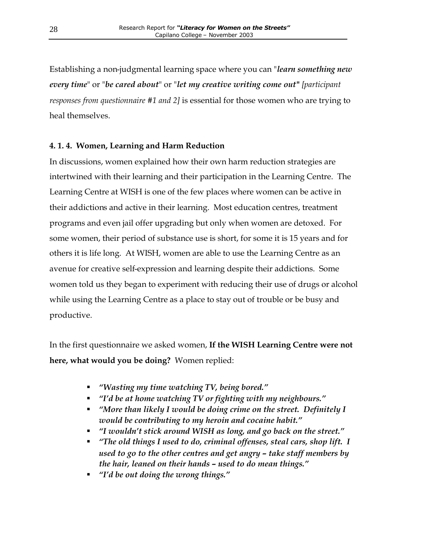<span id="page-28-0"></span>Establishing a non-judgmental learning space where you can "*learn something new every time*" or "*be cared about*" or "*let my creative writing come out***"** *[participant responses from questionnaire #1 and 2]* is essential for those women who are trying to heal themselves.

#### **4. 1. 4. Women, Learning and Harm Reduction**

In discussions, women explained how their own harm reduction strategies are intertwined with their learning and their participation in the Learning Centre. The Learning Centre at WISH is one of the few places where women can be active in their addictions and active in their learning. Most education centres, treatment programs and even jail offer upgrading but only when women are detoxed. For some women, their period of substance use is short, for some it is 15 years and for others it is life long. At WISH, women are able to use the Learning Centre as an avenue for creative self-expression and learning despite their addictions. Some women told us they began to experiment with reducing their use of drugs or alcohol while using the Learning Centre as a place to stay out of trouble or be busy and productive.

In the first questionnaire we asked women, **If the WISH Learning Centre were not here, what would you be doing?** Women replied:

- ß *"Wasting my time watching TV, being bored."*
- ß *"I'd be at home watching TV or fighting with my neighbours."*
- ß *"More than likely I would be doing crime on the street. Definitely I would be contributing to my heroin and cocaine habit."*
- ß *"I wouldn't stick around WISH as long, and go back on the street."*
- ß *"The old things I used to do, criminal offenses, steal cars, shop lift. I used to go to the other centres and get angry – take staff members by the hair, leaned on their hands – used to do mean things."*
- ß *"I'd be out doing the wrong things."*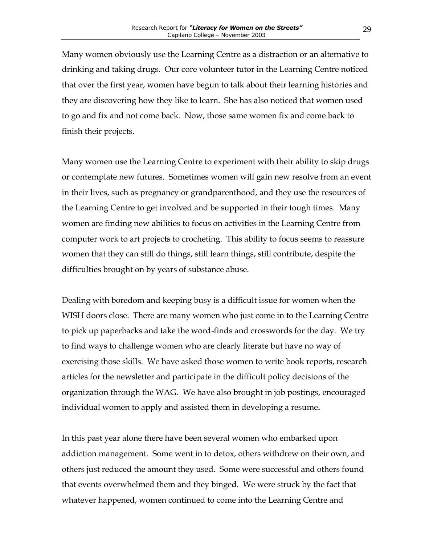Many women obviously use the Learning Centre as a distraction or an alternative to drinking and taking drugs. Our core volunteer tutor in the Learning Centre noticed that over the first year, women have begun to talk about their learning histories and they are discovering how they like to learn. She has also noticed that women used to go and fix and not come back. Now, those same women fix and come back to finish their projects.

Many women use the Learning Centre to experiment with their ability to skip drugs or contemplate new futures. Sometimes women will gain new resolve from an event in their lives, such as pregnancy or grandparenthood, and they use the resources of the Learning Centre to get involved and be supported in their tough times. Many women are finding new abilities to focus on activities in the Learning Centre from computer work to art projects to crocheting. This ability to focus seems to reassure women that they can still do things, still learn things, still contribute, despite the difficulties brought on by years of substance abuse.

Dealing with boredom and keeping busy is a difficult issue for women when the WISH doors close. There are many women who just come in to the Learning Centre to pick up paperbacks and take the word-finds and crosswords for the day. We try to find ways to challenge women who are clearly literate but have no way of exercising those skills. We have asked those women to write book reports, research articles for the newsletter and participate in the difficult policy decisions of the organization through the WAG. We have also brought in job postings, encouraged individual women to apply and assisted them in developing a resume**.**

In this past year alone there have been several women who embarked upon addiction management. Some went in to detox, others withdrew on their own, and others just reduced the amount they used. Some were successful and others found that events overwhelmed them and they binged. We were struck by the fact that whatever happened, women continued to come into the Learning Centre and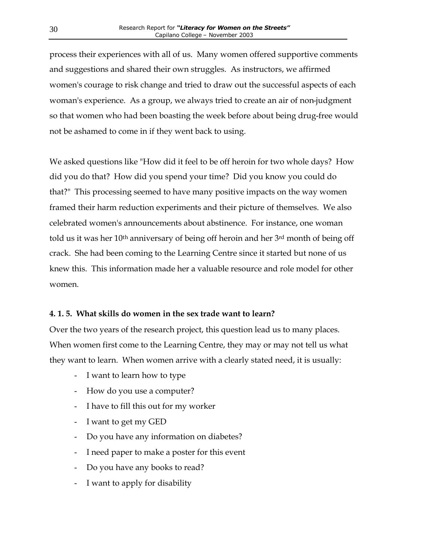<span id="page-30-0"></span>process their experiences with all of us. Many women offered supportive comments and suggestions and shared their own struggles. As instructors, we affirmed women's courage to risk change and tried to draw out the successful aspects of each woman's experience. As a group, we always tried to create an air of non-judgment so that women who had been boasting the week before about being drug-free would not be ashamed to come in if they went back to using.

We asked questions like "How did it feel to be off heroin for two whole days? How did you do that? How did you spend your time? Did you know you could do that?" This processing seemed to have many positive impacts on the way women framed their harm reduction experiments and their picture of themselves. We also celebrated women's announcements about abstinence. For instance, one woman told us it was her 10th anniversary of being off heroin and her 3rd month of being off crack. She had been coming to the Learning Centre since it started but none of us knew this. This information made her a valuable resource and role model for other women.

#### **4. 1. 5. What skills do women in the sex trade want to learn?**

Over the two years of the research project, this question lead us to many places. When women first come to the Learning Centre, they may or may not tell us what they want to learn. When women arrive with a clearly stated need, it is usually:

- I want to learn how to type
- How do you use a computer?
- I have to fill this out for my worker
- I want to get my GED
- Do you have any information on diabetes?
- I need paper to make a poster for this event
- Do you have any books to read?
- I want to apply for disability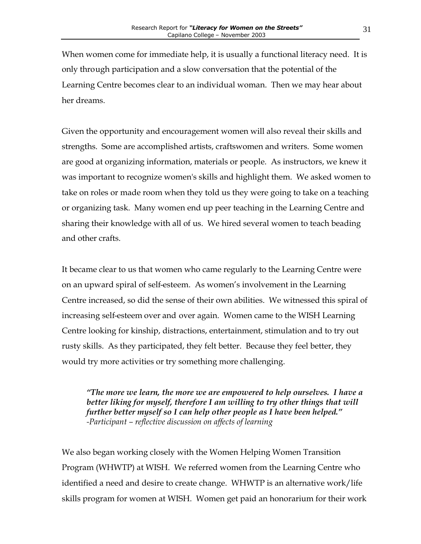When women come for immediate help, it is usually a functional literacy need. It is only through participation and a slow conversation that the potential of the Learning Centre becomes clear to an individual woman. Then we may hear about her dreams.

Given the opportunity and encouragement women will also reveal their skills and strengths. Some are accomplished artists, craftswomen and writers. Some women are good at organizing information, materials or people. As instructors, we knew it was important to recognize women's skills and highlight them. We asked women to take on roles or made room when they told us they were going to take on a teaching or organizing task. Many women end up peer teaching in the Learning Centre and sharing their knowledge with all of us. We hired several women to teach beading and other crafts.

It became clear to us that women who came regularly to the Learning Centre were on an upward spiral of self-esteem. As women's involvement in the Learning Centre increased, so did the sense of their own abilities. We witnessed this spiral of increasing self-esteem over and over again. Women came to the WISH Learning Centre looking for kinship, distractions, entertainment, stimulation and to try out rusty skills. As they participated, they felt better. Because they feel better, they would try more activities or try something more challenging.

*"The more we learn, the more we are empowered to help ourselves. I have a better liking for myself, therefore I am willing to try other things that will further better myself so I can help other people as I have been helped." -Participant – reflective discussion on affects of learning*

We also began working closely with the Women Helping Women Transition Program (WHWTP) at WISH. We referred women from the Learning Centre who identified a need and desire to create change. WHWTP is an alternative work/life skills program for women at WISH. Women get paid an honorarium for their work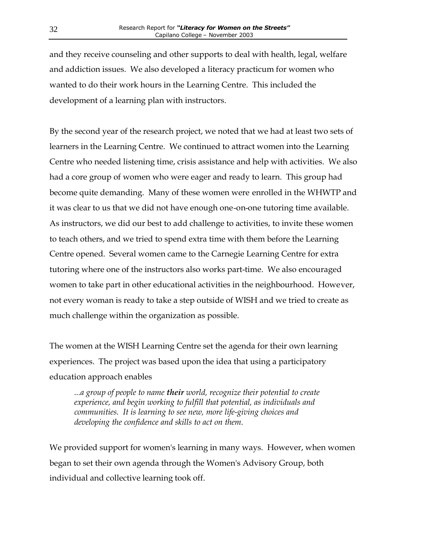and they receive counseling and other supports to deal with health, legal, welfare and addiction issues. We also developed a literacy practicum for women who wanted to do their work hours in the Learning Centre. This included the development of a learning plan with instructors.

By the second year of the research project, we noted that we had at least two sets of learners in the Learning Centre. We continued to attract women into the Learning Centre who needed listening time, crisis assistance and help with activities. We also had a core group of women who were eager and ready to learn. This group had become quite demanding. Many of these women were enrolled in the WHWTP and it was clear to us that we did not have enough one-on-one tutoring time available. As instructors, we did our best to add challenge to activities, to invite these women to teach others, and we tried to spend extra time with them before the Learning Centre opened. Several women came to the Carnegie Learning Centre for extra tutoring where one of the instructors also works part-time. We also encouraged women to take part in other educational activities in the neighbourhood. However, not every woman is ready to take a step outside of WISH and we tried to create as much challenge within the organization as possible.

The women at the WISH Learning Centre set the agenda for their own learning experiences. The project was based upon the idea that using a participatory education approach enables

*...a group of people to name their world, recognize their potential to create experience, and begin working to fulfill that potential, as individuals and communities. It is learning to see new, more life-giving choices and developing the confidence and skills to act on them.* 

We provided support for women's learning in many ways. However, when women began to set their own agenda through the Women's Advisory Group, both individual and collective learning took off.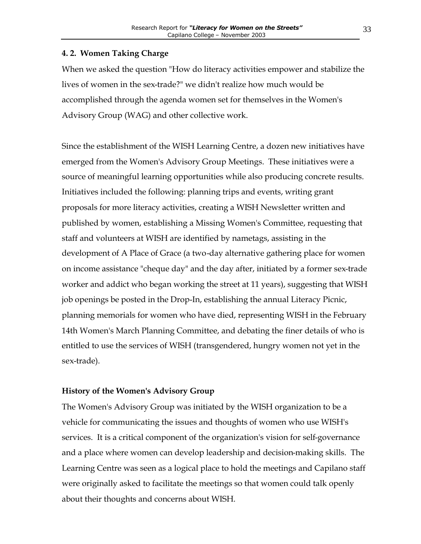#### <span id="page-33-0"></span>**4. 2. Women Taking Charge**

When we asked the question "How do literacy activities empower and stabilize the lives of women in the sex-trade?" we didn't realize how much would be accomplished through the agenda women set for themselves in the Women's Advisory Group (WAG) and other collective work.

Since the establishment of the WISH Learning Centre, a dozen new initiatives have emerged from the Women's Advisory Group Meetings. These initiatives were a source of meaningful learning opportunities while also producing concrete results. Initiatives included the following: planning trips and events, writing grant proposals for more literacy activities, creating a WISH Newsletter written and published by women, establishing a Missing Women's Committee, requesting that staff and volunteers at WISH are identified by nametags, assisting in the development of A Place of Grace (a two-day alternative gathering place for women on income assistance "cheque day" and the day after, initiated by a former sex-trade worker and addict who began working the street at 11 years), suggesting that WISH job openings be posted in the Drop-In, establishing the annual Literacy Picnic, planning memorials for women who have died, representing WISH in the February 14th Women's March Planning Committee, and debating the finer details of who is entitled to use the services of WISH (transgendered, hungry women not yet in the sex-trade).

#### **History of the Women's Advisory Group**

The Women's Advisory Group was initiated by the WISH organization to be a vehicle for communicating the issues and thoughts of women who use WISH's services. It is a critical component of the organization's vision for self-governance and a place where women can develop leadership and decision-making skills. The Learning Centre was seen as a logical place to hold the meetings and Capilano staff were originally asked to facilitate the meetings so that women could talk openly about their thoughts and concerns about WISH.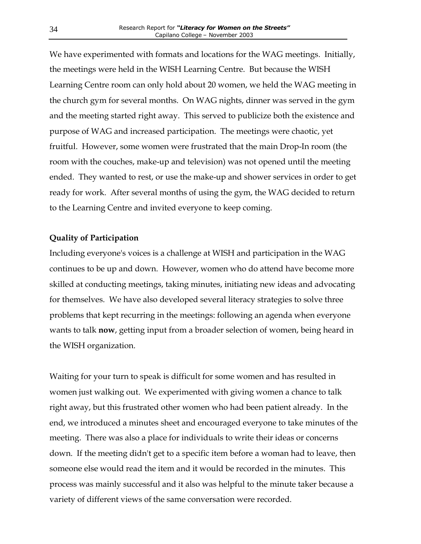<span id="page-34-0"></span>We have experimented with formats and locations for the WAG meetings. Initially, the meetings were held in the WISH Learning Centre. But because the WISH Learning Centre room can only hold about 20 women, we held the WAG meeting in the church gym for several months. On WAG nights, dinner was served in the gym and the meeting started right away. This served to publicize both the existence and purpose of WAG and increased participation. The meetings were chaotic, yet fruitful. However, some women were frustrated that the main Drop-In room (the room with the couches, make-up and television) was not opened until the meeting ended. They wanted to rest, or use the make-up and shower services in order to get ready for work. After several months of using the gym, the WAG decided to return to the Learning Centre and invited everyone to keep coming.

#### **Quality of Participation**

Including everyone's voices is a challenge at WISH and participation in the WAG continues to be up and down. However, women who do attend have become more skilled at conducting meetings, taking minutes, initiating new ideas and advocating for themselves. We have also developed several literacy strategies to solve three problems that kept recurring in the meetings: following an agenda when everyone wants to talk **now**, getting input from a broader selection of women, being heard in the WISH organization.

Waiting for your turn to speak is difficult for some women and has resulted in women just walking out. We experimented with giving women a chance to talk right away, but this frustrated other women who had been patient already. In the end, we introduced a minutes sheet and encouraged everyone to take minutes of the meeting. There was also a place for individuals to write their ideas or concerns down. If the meeting didn't get to a specific item before a woman had to leave, then someone else would read the item and it would be recorded in the minutes. This process was mainly successful and it also was helpful to the minute taker because a variety of different views of the same conversation were recorded.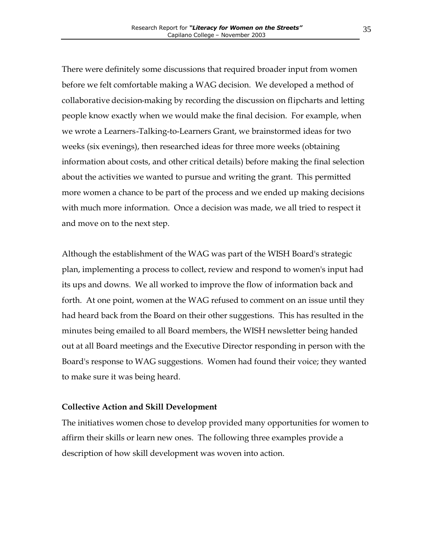<span id="page-35-0"></span>There were definitely some discussions that required broader input from women before we felt comfortable making a WAG decision. We developed a method of collaborative decision-making by recording the discussion on flipcharts and letting people know exactly when we would make the final decision. For example, when we wrote a Learners-Talking-to-Learners Grant, we brainstormed ideas for two weeks (six evenings), then researched ideas for three more weeks (obtaining information about costs, and other critical details) before making the final selection about the activities we wanted to pursue and writing the grant. This permitted more women a chance to be part of the process and we ended up making decisions with much more information. Once a decision was made, we all tried to respect it and move on to the next step.

Although the establishment of the WAG was part of the WISH Board's strategic plan, implementing a process to collect, review and respond to women's input had its ups and downs. We all worked to improve the flow of information back and forth. At one point, women at the WAG refused to comment on an issue until they had heard back from the Board on their other suggestions. This has resulted in the minutes being emailed to all Board members, the WISH newsletter being handed out at all Board meetings and the Executive Director responding in person with the Board's response to WAG suggestions. Women had found their voice; they wanted to make sure it was being heard.

#### **Collective Action and Skill Development**

The initiatives women chose to develop provided many opportunities for women to affirm their skills or learn new ones. The following three examples provide a description of how skill development was woven into action.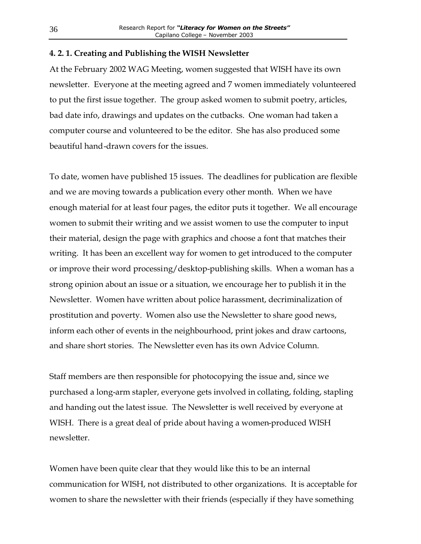#### <span id="page-36-0"></span>**4. 2. 1. Creating and Publishing the WISH Newsletter**

At the February 2002 WAG Meeting, women suggested that WISH have its own newsletter. Everyone at the meeting agreed and 7 women immediately volunteered to put the first issue together. The group asked women to submit poetry, articles, bad date info, drawings and updates on the cutbacks. One woman had taken a computer course and volunteered to be the editor. She has also produced some beautiful hand-drawn covers for the issues.

To date, women have published 15 issues. The deadlines for publication are flexible and we are moving towards a publication every other month. When we have enough material for at least four pages, the editor puts it together. We all encourage women to submit their writing and we assist women to use the computer to input their material, design the page with graphics and choose a font that matches their writing. It has been an excellent way for women to get introduced to the computer or improve their word processing/desktop-publishing skills. When a woman has a strong opinion about an issue or a situation, we encourage her to publish it in the Newsletter. Women have written about police harassment, decriminalization of prostitution and poverty. Women also use the Newsletter to share good news, inform each other of events in the neighbourhood, print jokes and draw cartoons, and share short stories. The Newsletter even has its own Advice Column.

Staff members are then responsible for photocopying the issue and, since we purchased a long-arm stapler, everyone gets involved in collating, folding, stapling and handing out the latest issue. The Newsletter is well received by everyone at WISH. There is a great deal of pride about having a women-produced WISH newsletter.

Women have been quite clear that they would like this to be an internal communication for WISH, not distributed to other organizations. It is acceptable for women to share the newsletter with their friends (especially if they have something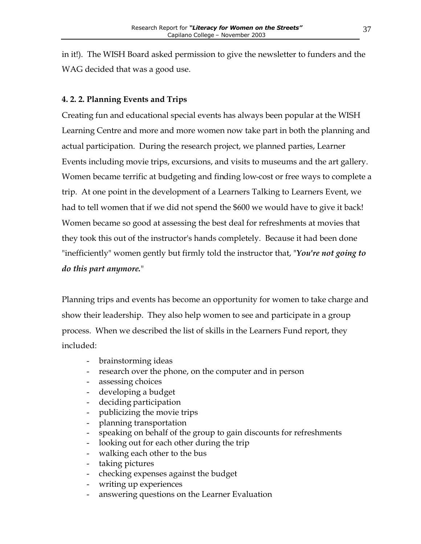<span id="page-37-0"></span>in it!). The WISH Board asked permission to give the newsletter to funders and the WAG decided that was a good use.

### **4. 2. 2. Planning Events and Trips**

Creating fun and educational special events has always been popular at the WISH Learning Centre and more and more women now take part in both the planning and actual participation. During the research project, we planned parties, Learner Events including movie trips, excursions, and visits to museums and the art gallery. Women became terrific at budgeting and finding low-cost or free ways to complete a trip. At one point in the development of a Learners Talking to Learners Event, we had to tell women that if we did not spend the \$600 we would have to give it back! Women became so good at assessing the best deal for refreshments at movies that they took this out of the instructor's hands completely. Because it had been done "inefficiently" women gently but firmly told the instructor that, "*You're not going to do this part anymore.*"

Planning trips and events has become an opportunity for women to take charge and show their leadership. They also help women to see and participate in a group process. When we described the list of skills in the Learners Fund report, they included:

- brainstorming ideas
- research over the phone, on the computer and in person
- assessing choices
- developing a budget
- deciding participation
- publicizing the movie trips
- planning transportation
- speaking on behalf of the group to gain discounts for refreshments
- looking out for each other during the trip
- walking each other to the bus
- taking pictures
- checking expenses against the budget
- writing up experiences
- answering questions on the Learner Evaluation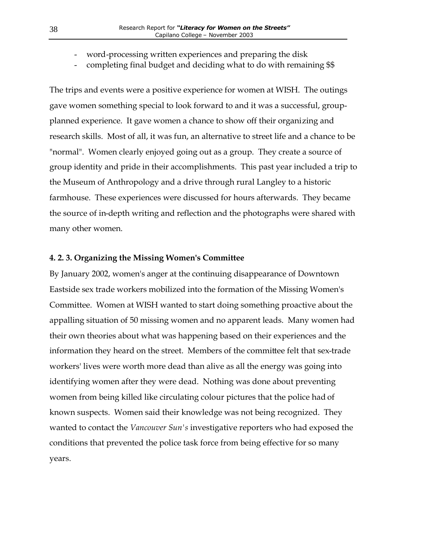- <span id="page-38-0"></span>word-processing written experiences and preparing the disk
- completing final budget and deciding what to do with remaining \$\$

The trips and events were a positive experience for women at WISH. The outings gave women something special to look forward to and it was a successful, groupplanned experience. It gave women a chance to show off their organizing and research skills. Most of all, it was fun, an alternative to street life and a chance to be "normal". Women clearly enjoyed going out as a group. They create a source of group identity and pride in their accomplishments. This past year included a trip to the Museum of Anthropology and a drive through rural Langley to a historic farmhouse. These experiences were discussed for hours afterwards. They became the source of in-depth writing and reflection and the photographs were shared with many other women.

#### **4. 2. 3. Organizing the Missing Women's Committee**

By January 2002, women's anger at the continuing disappearance of Downtown Eastside sex trade workers mobilized into the formation of the Missing Women's Committee. Women at WISH wanted to start doing something proactive about the appalling situation of 50 missing women and no apparent leads. Many women had their own theories about what was happening based on their experiences and the information they heard on the street. Members of the committee felt that sex-trade workers' lives were worth more dead than alive as all the energy was going into identifying women after they were dead. Nothing was done about preventing women from being killed like circulating colour pictures that the police had of known suspects. Women said their knowledge was not being recognized. They wanted to contact the *Vancouver Sun's* investigative reporters who had exposed the conditions that prevented the police task force from being effective for so many years.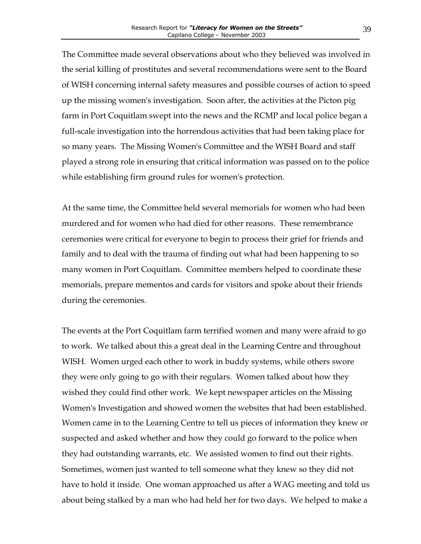The Committee made several observations about who they believed was involved in the serial killing of prostitutes and several recommendations were sent to the Board of WISH concerning internal safety measures and possible courses of action to speed up the missing women's investigation. Soon after, the activities at the Picton pig farm in Port Coquitlam swept into the news and the RCMP and local police began a full-scale investigation into the horrendous activities that had been taking place for so many years. The Missing Women's Committee and the WISH Board and staff played a strong role in ensuring that critical information was passed on to the police while establishing firm ground rules for women's protection.

At the same time, the Committee held several memorials for women who had been murdered and for women who had died for other reasons. These remembrance ceremonies were critical for everyone to begin to process their grief for friends and family and to deal with the trauma of finding out what had been happening to so many women in Port Coquitlam. Committee members helped to coordinate these memorials, prepare mementos and cards for visitors and spoke about their friends during the ceremonies.

The events at the Port Coquitlam farm terrified women and many were afraid to go to work. We talked about this a great deal in the Learning Centre and throughout WISH. Women urged each other to work in buddy systems, while others swore they were only going to go with their regulars. Women talked about how they wished they could find other work. We kept newspaper articles on the Missing Women's Investigation and showed women the websites that had been established. Women came in to the Learning Centre to tell us pieces of information they knew or suspected and asked whether and how they could go forward to the police when they had outstanding warrants, etc. We assisted women to find out their rights. Sometimes, women just wanted to tell someone what they knew so they did not have to hold it inside. One woman approached us after a WAG meeting and told us about being stalked by a man who had held her for two days. We helped to make a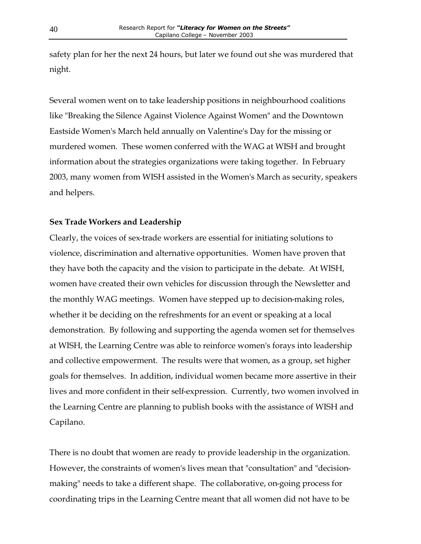<span id="page-40-0"></span>safety plan for her the next 24 hours, but later we found out she was murdered that night.

Several women went on to take leadership positions in neighbourhood coalitions like "Breaking the Silence Against Violence Against Women" and the Downtown Eastside Women's March held annually on Valentine's Day for the missing or murdered women. These women conferred with the WAG at WISH and brought information about the strategies organizations were taking together. In February 2003, many women from WISH assisted in the Women's March as security, speakers and helpers.

#### **Sex Trade Workers and Leadership**

Clearly, the voices of sex-trade workers are essential for initiating solutions to violence, discrimination and alternative opportunities. Women have proven that they have both the capacity and the vision to participate in the debate. At WISH, women have created their own vehicles for discussion through the Newsletter and the monthly WAG meetings. Women have stepped up to decision-making roles, whether it be deciding on the refreshments for an event or speaking at a local demonstration. By following and supporting the agenda women set for themselves at WISH, the Learning Centre was able to reinforce women's forays into leadership and collective empowerment. The results were that women, as a group, set higher goals for themselves. In addition, individual women became more assertive in their lives and more confident in their self-expression. Currently, two women involved in the Learning Centre are planning to publish books with the assistance of WISH and Capilano.

There is no doubt that women are ready to provide leadership in the organization. However, the constraints of women's lives mean that "consultation" and "decisionmaking" needs to take a different shape. The collaborative, on-going process for coordinating trips in the Learning Centre meant that all women did not have to be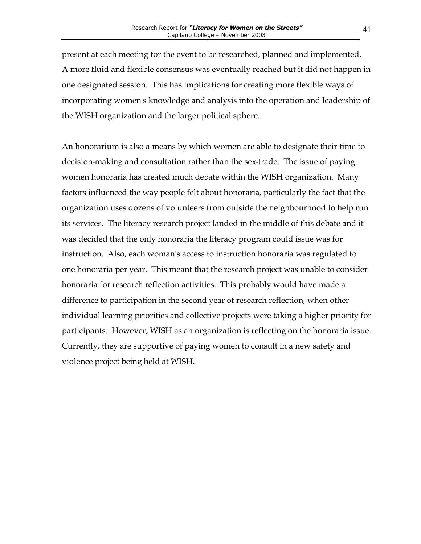present at each meeting for the event to be researched, planned and implemented. A more fluid and flexible consensus was eventually reached but it did not happen in one designated session. This has implications for creating more flexible ways of incorporating women's knowledge and analysis into the operation and leadership of the WISH organization and the larger political sphere.

An honorarium is also a means by which women are able to designate their time to decision-making and consultation rather than the sex-trade. The issue of paying women honoraria has created much debate within the WISH organization. Many factors influenced the way people felt about honoraria, particularly the fact that the organization uses dozens of volunteers from outside the neighbourhood to help run its services. The literacy research project landed in the middle of this debate and it was decided that the only honoraria the literacy program could issue was for instruction. Also, each woman's access to instruction honoraria was regulated to one honoraria per year. This meant that the research project was unable to consider honoraria for research reflection activities. This probably would have made a difference to participation in the second year of research reflection, when other individual learning priorities and collective projects were taking a higher priority for participants. However, WISH as an organization is reflecting on the honoraria issue. Currently, they are supportive of paying women to consult in a new safety and violence project being held at WISH.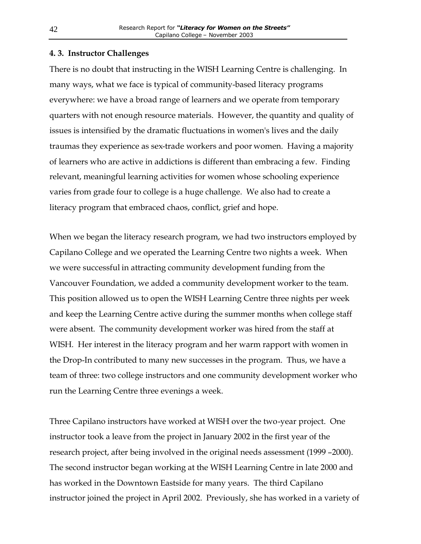#### <span id="page-42-0"></span>**4. 3. Instructor Challenges**

There is no doubt that instructing in the WISH Learning Centre is challenging. In many ways, what we face is typical of community-based literacy programs everywhere: we have a broad range of learners and we operate from temporary quarters with not enough resource materials. However, the quantity and quality of issues is intensified by the dramatic fluctuations in women's lives and the daily traumas they experience as sex-trade workers and poor women. Having a majority of learners who are active in addictions is different than embracing a few. Finding relevant, meaningful learning activities for women whose schooling experience varies from grade four to college is a huge challenge. We also had to create a literacy program that embraced chaos, conflict, grief and hope.

When we began the literacy research program, we had two instructors employed by Capilano College and we operated the Learning Centre two nights a week. When we were successful in attracting community development funding from the Vancouver Foundation, we added a community development worker to the team. This position allowed us to open the WISH Learning Centre three nights per week and keep the Learning Centre active during the summer months when college staff were absent. The community development worker was hired from the staff at WISH. Her interest in the literacy program and her warm rapport with women in the Drop-In contributed to many new successes in the program. Thus, we have a team of three: two college instructors and one community development worker who run the Learning Centre three evenings a week.

Three Capilano instructors have worked at WISH over the two-year project. One instructor took a leave from the project in January 2002 in the first year of the research project, after being involved in the original needs assessment (1999 –2000). The second instructor began working at the WISH Learning Centre in late 2000 and has worked in the Downtown Eastside for many years. The third Capilano instructor joined the project in April 2002. Previously, she has worked in a variety of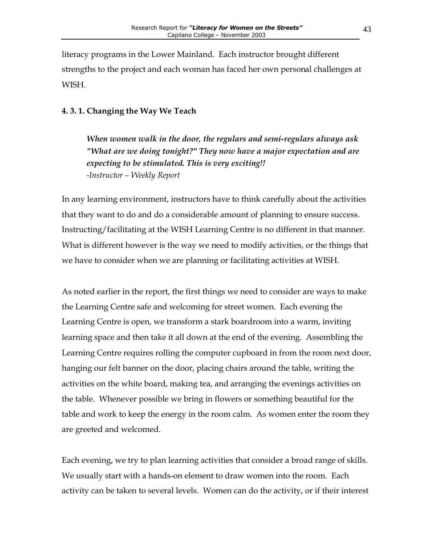<span id="page-43-0"></span>literacy programs in the Lower Mainland. Each instructor brought different strengths to the project and each woman has faced her own personal challenges at WISH.

#### **4. 3. 1. Changing the Way We Teach**

*When women walk in the door, the regulars and semi-regulars always ask "What are we doing tonight?" They now have a major expectation and are expecting to be stimulated. This is very exciting!! -Instructor – Weekly Report*

In any learning environment, instructors have to think carefully about the activities that they want to do and do a considerable amount of planning to ensure success. Instructing/facilitating at the WISH Learning Centre is no different in that manner. What is different however is the way we need to modify activities, or the things that we have to consider when we are planning or facilitating activities at WISH.

As noted earlier in the report, the first things we need to consider are ways to make the Learning Centre safe and welcoming for street women. Each evening the Learning Centre is open, we transform a stark boardroom into a warm, inviting learning space and then take it all down at the end of the evening. Assembling the Learning Centre requires rolling the computer cupboard in from the room next door, hanging our felt banner on the door, placing chairs around the table, writing the activities on the white board, making tea, and arranging the evenings activities on the table. Whenever possible we bring in flowers or something beautiful for the table and work to keep the energy in the room calm. As women enter the room they are greeted and welcomed.

Each evening, we try to plan learning activities that consider a broad range of skills. We usually start with a hands-on element to draw women into the room. Each activity can be taken to several levels. Women can do the activity, or if their interest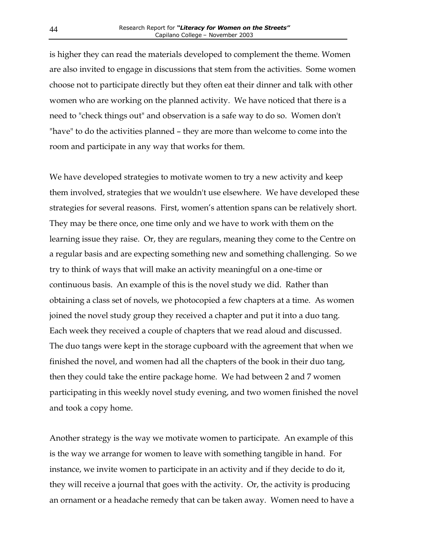is higher they can read the materials developed to complement the theme. Women are also invited to engage in discussions that stem from the activities. Some women choose not to participate directly but they often eat their dinner and talk with other women who are working on the planned activity. We have noticed that there is a need to "check things out" and observation is a safe way to do so. Women don't "have" to do the activities planned – they are more than welcome to come into the room and participate in any way that works for them.

We have developed strategies to motivate women to try a new activity and keep them involved, strategies that we wouldn't use elsewhere. We have developed these strategies for several reasons. First, women's attention spans can be relatively short. They may be there once, one time only and we have to work with them on the learning issue they raise. Or, they are regulars, meaning they come to the Centre on a regular basis and are expecting something new and something challenging. So we try to think of ways that will make an activity meaningful on a one-time or continuous basis. An example of this is the novel study we did. Rather than obtaining a class set of novels, we photocopied a few chapters at a time. As women joined the novel study group they received a chapter and put it into a duo tang. Each week they received a couple of chapters that we read aloud and discussed. The duo tangs were kept in the storage cupboard with the agreement that when we finished the novel, and women had all the chapters of the book in their duo tang, then they could take the entire package home. We had between 2 and 7 women participating in this weekly novel study evening, and two women finished the novel and took a copy home.

Another strategy is the way we motivate women to participate. An example of this is the way we arrange for women to leave with something tangible in hand. For instance, we invite women to participate in an activity and if they decide to do it, they will receive a journal that goes with the activity. Or, the activity is producing an ornament or a headache remedy that can be taken away. Women need to have a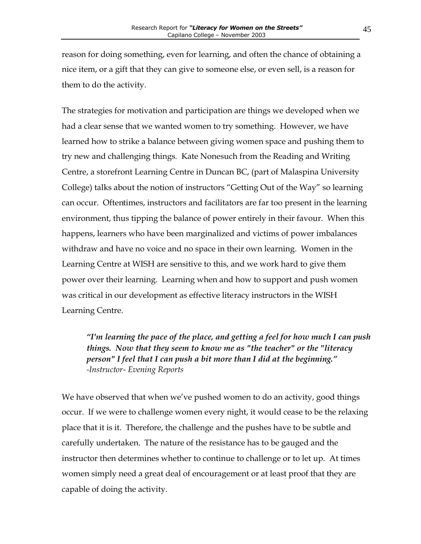reason for doing something, even for learning, and often the chance of obtaining a nice item, or a gift that they can give to someone else, or even sell, is a reason for them to do the activity.

The strategies for motivation and participation are things we developed when we had a clear sense that we wanted women to try something. However, we have learned how to strike a balance between giving women space and pushing them to try new and challenging things*.* Kate Nonesuch from the Reading and Writing Centre, a storefront Learning Centre in Duncan BC, (part of Malaspina University College) talks about the notion of instructors "Getting Out of the Way" so learning can occur. Oftentimes, instructors and facilitators are far too present in the learning environment, thus tipping the balance of power entirely in their favour. When this happens, learners who have been marginalized and victims of power imbalances withdraw and have no voice and no space in their own learning. Women in the Learning Centre at WISH are sensitive to this, and we work hard to give them power over their learning. Learning when and how to support and push women was critical in our development as effective literacy instructors in the WISH Learning Centre.

*"I'm learning the pace of the place, and getting a feel for how much I can push things. Now that they seem to know me as "the teacher" or the "literacy person" I feel that I can push a bit more than I did at the beginning." -Instructor- Evening Reports* 

We have observed that when we've pushed women to do an activity, good things occur. If we were to challenge women every night, it would cease to be the relaxing place that it is it. Therefore, the challenge and the pushes have to be subtle and carefully undertaken. The nature of the resistance has to be gauged and the instructor then determines whether to continue to challenge or to let up. At times women simply need a great deal of encouragement or at least proof that they are capable of doing the activity.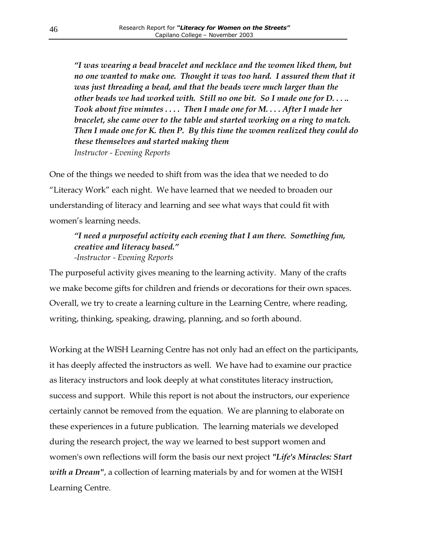*"I was wearing a bead bracelet and necklace and the women liked them, but no one wanted to make one. Thought it was too hard. I assured them that it was just threading a bead, and that the beads were much larger than the other beads we had worked with. Still no one bit. So I made one for D. . . .. Took about five minutes . . . . Then I made one for M. . . . After I made her bracelet, she came over to the table and started working on a ring to match. Then I made one for K. then P. By this time the women realized they could do these themselves and started making them Instructor - Evening Reports*

One of the things we needed to shift from was the idea that we needed to do "Literacy Work" each night. We have learned that we needed to broaden our understanding of literacy and learning and see what ways that could fit with women's learning needs.

## *"I need a purposeful activity each evening that I am there. Something fun, creative and literacy based." -Instructor - Evening Reports*

The purposeful activity gives meaning to the learning activity. Many of the crafts we make become gifts for children and friends or decorations for their own spaces. Overall, we try to create a learning culture in the Learning Centre, where reading, writing, thinking, speaking, drawing, planning, and so forth abound.

Working at the WISH Learning Centre has not only had an effect on the participants, it has deeply affected the instructors as well. We have had to examine our practice as literacy instructors and look deeply at what constitutes literacy instruction, success and support. While this report is not about the instructors, our experience certainly cannot be removed from the equation. We are planning to elaborate on these experiences in a future publication. The learning materials we developed during the research project, the way we learned to best support women and women's own reflections will form the basis our next project *"Life's Miracles: Start with a Dream"*, a collection of learning materials by and for women at the WISH Learning Centre.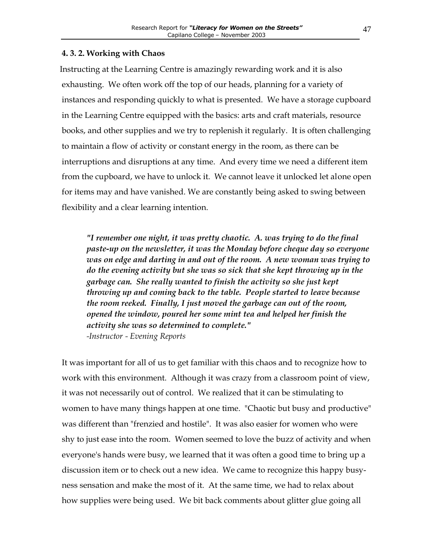#### <span id="page-47-0"></span>**4. 3. 2. . Working with Chaos**

Instructing at the Learning Centre is amazingly rewarding work and it is also exhausting. We often work off the top of our heads, planning for a variety of instances and responding quickly to what is presented. We have a storage cupboard in the Learning Centre equipped with the basics: arts and craft materials, resource books, and other supplies and we try to replenish it regularly. It is often challenging to maintain a flow of activity or constant energy in the room, as there can be interruptions and disruptions at any time. And every time we need a different item from the cupboard, we have to unlock it. We cannot leave it unlocked let alone open for items may and have vanished. We are constantly being asked to swing between flexibility and a clear learning intention.

*"I remember one night, it was pretty chaotic. A. was trying to do the final paste-up on the newsletter, it was the Monday before cheque day so everyone was on edge and darting in and out of the room. A new woman was trying to do the evening activity but she was so sick that she kept throwing up in the garbage can. She really wanted to finish the activity so she just kept throwing up and coming back to the table. People started to leave because the room reeked. Finally, I just moved the garbage can out of the room, opened the window, poured her some mint tea and helped her finish the activity she was so determined to complete." -Instructor - Evening Reports*

It was important for all of us to get familiar with this chaos and to recognize how to work with this environment. Although it was crazy from a classroom point of view, it was not necessarily out of control. We realized that it can be stimulating to women to have many things happen at one time. "Chaotic but busy and productive" was different than "frenzied and hostile". It was also easier for women who were shy to just ease into the room. Women seemed to love the buzz of activity and when everyone's hands were busy, we learned that it was often a good time to bring up a discussion item or to check out a new idea. We came to recognize this happy busyness sensation and make the most of it. At the same time, we had to relax about how supplies were being used. We bit back comments about glitter glue going all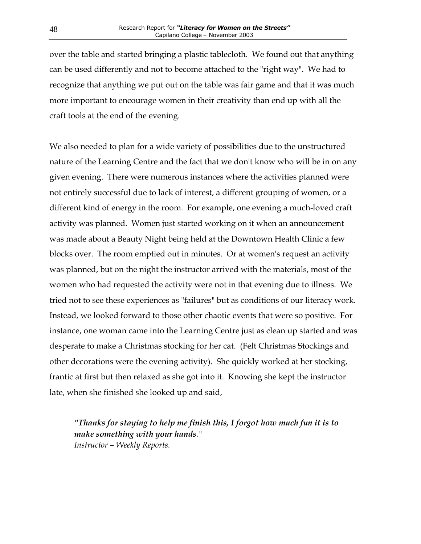over the table and started bringing a plastic tablecloth. We found out that anything can be used differently and not to become attached to the "right way". We had to recognize that anything we put out on the table was fair game and that it was much more important to encourage women in their creativity than end up with all the craft tools at the end of the evening.

We also needed to plan for a wide variety of possibilities due to the unstructured nature of the Learning Centre and the fact that we don't know who will be in on any given evening. There were numerous instances where the activities planned were not entirely successful due to lack of interest, a different grouping of women, or a different kind of energy in the room. For example, one evening a much-loved craft activity was planned. Women just started working on it when an announcement was made about a Beauty Night being held at the Downtown Health Clinic a few blocks over. The room emptied out in minutes. Or at women's request an activity was planned, but on the night the instructor arrived with the materials, most of the women who had requested the activity were not in that evening due to illness. We tried not to see these experiences as "failures" but as conditions of our literacy work. Instead, we looked forward to those other chaotic events that were so positive. For instance, one woman came into the Learning Centre just as clean up started and was desperate to make a Christmas stocking for her cat. (Felt Christmas Stockings and other decorations were the evening activity). She quickly worked at her stocking, frantic at first but then relaxed as she got into it. Knowing she kept the instructor late, when she finished she looked up and said,

*"Thanks for staying to help me finish this, I forgot how much fun it is to make something with your hands." Instructor – Weekly Reports.*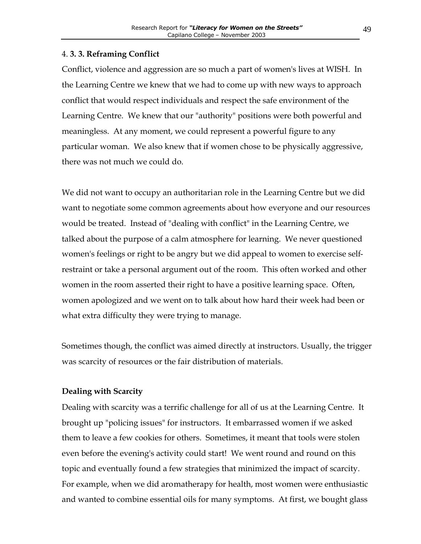#### <span id="page-49-0"></span>4. **3. 3. Reframing Conflict**

Conflict, violence and aggression are so much a part of women's lives at WISH. In the Learning Centre we knew that we had to come up with new ways to approach conflict that would respect individuals and respect the safe environment of the Learning Centre. We knew that our "authority" positions were both powerful and meaningless. At any moment, we could represent a powerful figure to any particular woman. We also knew that if women chose to be physically aggressive, there was not much we could do.

We did not want to occupy an authoritarian role in the Learning Centre but we did want to negotiate some common agreements about how everyone and our resources would be treated. Instead of "dealing with conflict" in the Learning Centre, we talked about the purpose of a calm atmosphere for learning. We never questioned women's feelings or right to be angry but we did appeal to women to exercise selfrestraint or take a personal argument out of the room. This often worked and other women in the room asserted their right to have a positive learning space. Often, women apologized and we went on to talk about how hard their week had been or what extra difficulty they were trying to manage.

Sometimes though, the conflict was aimed directly at instructors. Usually, the trigger was scarcity of resources or the fair distribution of materials.

#### **Dealing with Scarcity**

Dealing with scarcity was a terrific challenge for all of us at the Learning Centre. It brought up "policing issues" for instructors. It embarrassed women if we asked them to leave a few cookies for others. Sometimes, it meant that tools were stolen even before the evening's activity could start! We went round and round on this topic and eventually found a few strategies that minimized the impact of scarcity. For example, when we did aromatherapy for health, most women were enthusiastic and wanted to combine essential oils for many symptoms. At first, we bought glass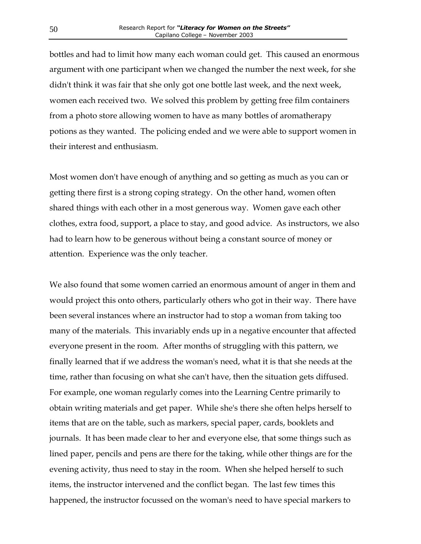bottles and had to limit how many each woman could get. This caused an enormous argument with one participant when we changed the number the next week, for she didn't think it was fair that she only got one bottle last week, and the next week, women each received two. We solved this problem by getting free film containers from a photo store allowing women to have as many bottles of aromatherapy potions as they wanted. The policing ended and we were able to support women in their interest and enthusiasm.

Most women don't have enough of anything and so getting as much as you can or getting there first is a strong coping strategy. On the other hand, women often shared things with each other in a most generous way. Women gave each other clothes, extra food, support, a place to stay, and good advice. As instructors, we also had to learn how to be generous without being a constant source of money or attention. Experience was the only teacher.

We also found that some women carried an enormous amount of anger in them and would project this onto others, particularly others who got in their way. There have been several instances where an instructor had to stop a woman from taking too many of the materials. This invariably ends up in a negative encounter that affected everyone present in the room. After months of struggling with this pattern, we finally learned that if we address the woman's need, what it is that she needs at the time, rather than focusing on what she can't have, then the situation gets diffused. For example, one woman regularly comes into the Learning Centre primarily to obtain writing materials and get paper. While she's there she often helps herself to items that are on the table, such as markers, special paper, cards, booklets and journals. It has been made clear to her and everyone else, that some things such as lined paper, pencils and pens are there for the taking, while other things are for the evening activity, thus need to stay in the room. When she helped herself to such items, the instructor intervened and the conflict began. The last few times this happened, the instructor focussed on the woman's need to have special markers to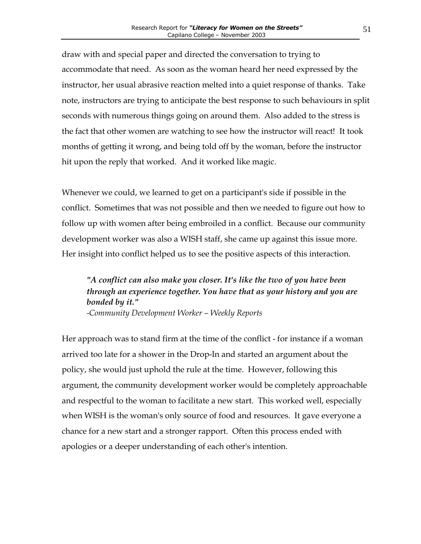draw with and special paper and directed the conversation to trying to accommodate that need. As soon as the woman heard her need expressed by the instructor, her usual abrasive reaction melted into a quiet response of thanks. Take note, instructors are trying to anticipate the best response to such behaviours in split seconds with numerous things going on around them. Also added to the stress is the fact that other women are watching to see how the instructor will react! It took months of getting it wrong, and being told off by the woman, before the instructor hit upon the reply that worked. And it worked like magic.

Whenever we could, we learned to get on a participant's side if possible in the conflict. Sometimes that was not possible and then we needed to figure out how to follow up with women after being embroiled in a conflict. Because our community development worker was also a WISH staff, she came up against this issue more. Her insight into conflict helped us to see the positive aspects of this interaction.

## *"A conflict can also make you closer. It's like the two of you have been through an experience together. You have that as your history and you are bonded by it." -Community Development Worker – Weekly Reports*

Her approach was to stand firm at the time of the conflict - for instance if a woman arrived too late for a shower in the Drop-In and started an argument about the policy, she would just uphold the rule at the time. However, following this argument, the community development worker would be completely approachable and respectful to the woman to facilitate a new start. This worked well, especially when WISH is the woman's only source of food and resources. It gave everyone a chance for a new start and a stronger rapport. Often this process ended with apologies or a deeper understanding of each other's intention.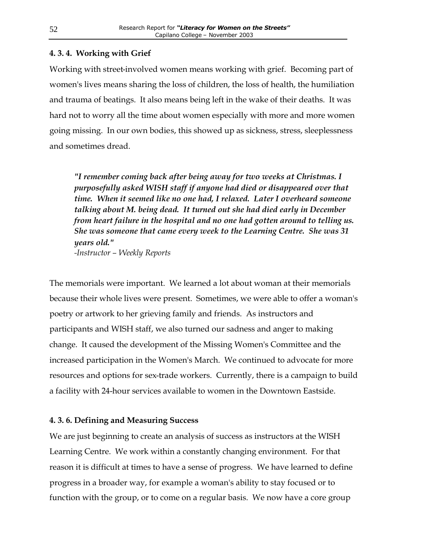#### <span id="page-52-0"></span>**4. 3. 4. Working with Grief**

Working with street-involved women means working with grief. Becoming part of women's lives means sharing the loss of children, the loss of health, the humiliation and trauma of beatings. It also means being left in the wake of their deaths. It was hard not to worry all the time about women especially with more and more women going missing. In our own bodies, this showed up as sickness, stress, sleeplessness and sometimes dread.

*"I remember coming back after being away for two weeks at Christmas. I purposefully asked WISH staff if anyone had died or disappeared over that time. When it seemed like no one had, I relaxed. Later I overheard someone talking about M. being dead. It turned out she had died early in December from heart failure in the hospital and no one had gotten around to telling us. She was someone that came every week to the Learning Centre. She was 31 years old." -Instructor – Weekly Reports*

The memorials were important. We learned a lot about woman at their memorials because their whole lives were present. Sometimes, we were able to offer a woman's poetry or artwork to her grieving family and friends. As instructors and participants and WISH staff, we also turned our sadness and anger to making change. It caused the development of the Missing Women's Committee and the increased participation in the Women's March. We continued to advocate for more resources and options for sex-trade workers. Currently, there is a campaign to build a facility with 24-hour services available to women in the Downtown Eastside.

#### **4. 3. 6. Defining and Measuring Success**

We are just beginning to create an analysis of success as instructors at the WISH Learning Centre. We work within a constantly changing environment. For that reason it is difficult at times to have a sense of progress. We have learned to define progress in a broader way, for example a woman's ability to stay focused or to function with the group, or to come on a regular basis. We now have a core group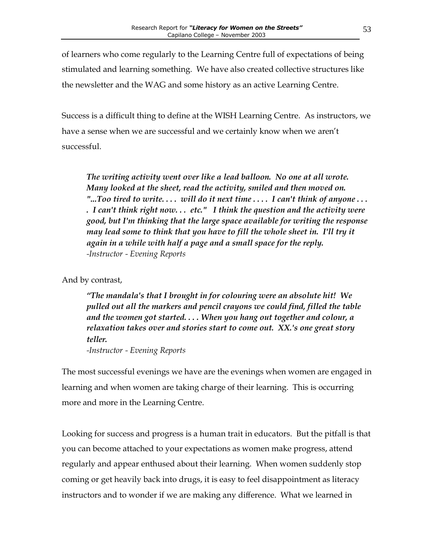of learners who come regularly to the Learning Centre full of expectations of being stimulated and learning something. We have also created collective structures like the newsletter and the WAG and some history as an active Learning Centre.

Success is a difficult thing to define at the WISH Learning Centre. As instructors, we have a sense when we are successful and we certainly know when we aren't successful.

*The writing activity went over like a lead balloon. No one at all wrote. Many looked at the sheet, read the activity, smiled and then moved on. "...Too tired to write. . . . will do it next time . . . . I can't think of anyone . . . . I can't think right now. . . etc." I think the question and the activity were good, but I'm thinking that the large space available for writing the response*  may lead some to think that you have to fill the whole sheet in. I'll try it *again in a while with half a page and a small space for the reply. -Instructor - Evening Reports*

And by contrast,

*"The mandala's that I brought in for colouring were an absolute hit! We pulled out all the markers and pencil crayons we could find, filled the table and the women got started. . . . When you hang out together and colour, a relaxation takes over and stories start to come out. XX.'s one great story teller. -Instructor - Evening Reports*

The most successful evenings we have are the evenings when women are engaged in learning and when women are taking charge of their learning. This is occurring more and more in the Learning Centre.

Looking for success and progress is a human trait in educators. But the pitfall is that you can become attached to your expectations as women make progress, attend regularly and appear enthused about their learning. When women suddenly stop coming or get heavily back into drugs, it is easy to feel disappointment as literacy instructors and to wonder if we are making any difference. What we learned in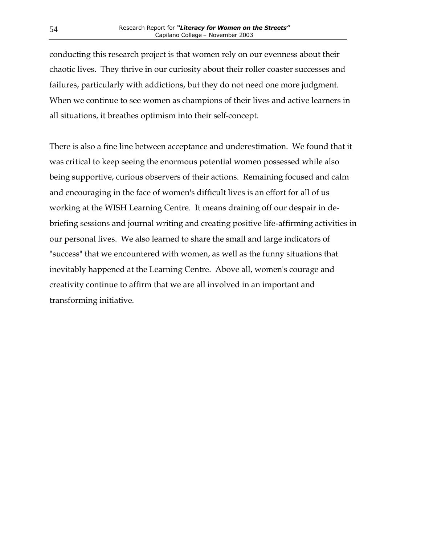conducting this research project is that women rely on our evenness about their chaotic lives. They thrive in our curiosity about their roller coaster successes and failures, particularly with addictions, but they do not need one more judgment. When we continue to see women as champions of their lives and active learners in all situations, it breathes optimism into their self-concept.

There is also a fine line between acceptance and underestimation. We found that it was critical to keep seeing the enormous potential women possessed while also being supportive, curious observers of their actions. Remaining focused and calm and encouraging in the face of women's difficult lives is an effort for all of us working at the WISH Learning Centre. It means draining off our despair in debriefing sessions and journal writing and creating positive life-affirming activities in our personal lives. We also learned to share the small and large indicators of "success" that we encountered with women, as well as the funny situations that inevitably happened at the Learning Centre. Above all, women's courage and creativity continue to affirm that we are all involved in an important and transforming initiative.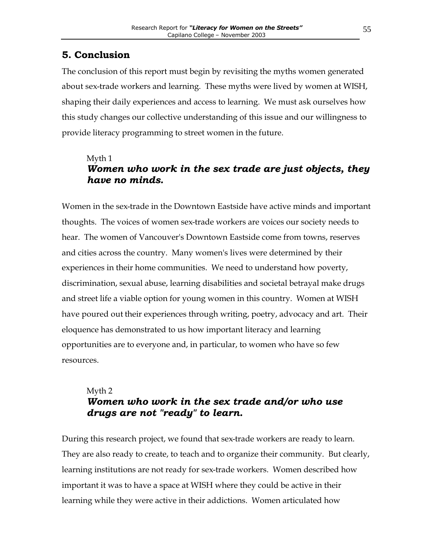## <span id="page-55-0"></span>**5. Conclusion**

The conclusion of this report must begin by revisiting the myths women generated about sex-trade workers and learning. These myths were lived by women at WISH, shaping their daily experiences and access to learning. We must ask ourselves how this study changes our collective understanding of this issue and our willingness to provide literacy programming to street women in the future.

## Myth 1 *Women who work in the sex trade are just objects, they have no minds.*

Women in the sex-trade in the Downtown Eastside have active minds and important thoughts. The voices of women sex-trade workers are voices our society needs to hear. The women of Vancouver's Downtown Eastside come from towns, reserves and cities across the country. Many women's lives were determined by their experiences in their home communities. We need to understand how poverty, discrimination, sexual abuse, learning disabilities and societal betrayal make drugs and street life a viable option for young women in this country. Women at WISH have poured out their experiences through writing, poetry, advocacy and art. Their eloquence has demonstrated to us how important literacy and learning opportunities are to everyone and, in particular, to women who have so few resources.

## Myth 2 *Women who work in the sex trade and/or who use drugs are not "ready" to learn.*

During this research project, we found that sex-trade workers are ready to learn. They are also ready to create, to teach and to organize their community. But clearly, learning institutions are not ready for sex-trade workers. Women described how important it was to have a space at WISH where they could be active in their learning while they were active in their addictions. Women articulated how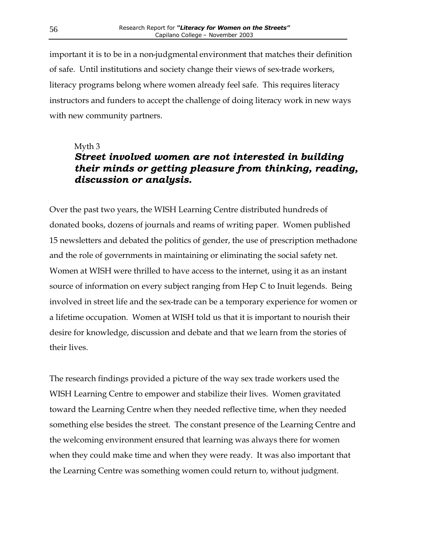important it is to be in a non-judgmental environment that matches their definition of safe. Until institutions and society change their views of sex-trade workers, literacy programs belong where women already feel safe. This requires literacy instructors and funders to accept the challenge of doing literacy work in new ways with new community partners.

#### Myth 3

## *Street involved women are not interested in building their minds or getting pleasure from thinking, reading, discussion or analysis.*

Over the past two years, the WISH Learning Centre distributed hundreds of donated books, dozens of journals and reams of writing paper. Women published 15 newsletters and debated the politics of gender, the use of prescription methadone and the role of governments in maintaining or eliminating the social safety net. Women at WISH were thrilled to have access to the internet, using it as an instant source of information on every subject ranging from Hep C to Inuit legends. Being involved in street life and the sex-trade can be a temporary experience for women or a lifetime occupation. Women at WISH told us that it is important to nourish their desire for knowledge, discussion and debate and that we learn from the stories of their lives.

The research findings provided a picture of the way sex trade workers used the WISH Learning Centre to empower and stabilize their lives. Women gravitated toward the Learning Centre when they needed reflective time, when they needed something else besides the street. The constant presence of the Learning Centre and the welcoming environment ensured that learning was always there for women when they could make time and when they were ready. It was also important that the Learning Centre was something women could return to, without judgment.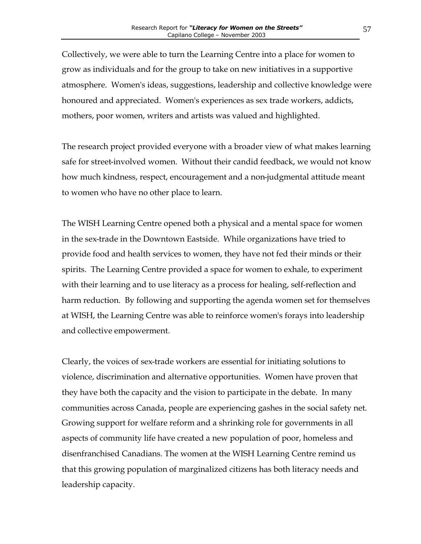Collectively, we were able to turn the Learning Centre into a place for women to grow as individuals and for the group to take on new initiatives in a supportive atmosphere. Women's ideas, suggestions, leadership and collective knowledge were honoured and appreciated. Women's experiences as sex trade workers, addicts, mothers, poor women, writers and artists was valued and highlighted.

The research project provided everyone with a broader view of what makes learning safe for street-involved women. Without their candid feedback, we would not know how much kindness, respect, encouragement and a non-judgmental attitude meant to women who have no other place to learn.

The WISH Learning Centre opened both a physical and a mental space for women in the sex-trade in the Downtown Eastside. While organizations have tried to provide food and health services to women, they have not fed their minds or their spirits. The Learning Centre provided a space for women to exhale, to experiment with their learning and to use literacy as a process for healing, self-reflection and harm reduction. By following and supporting the agenda women set for themselves at WISH, the Learning Centre was able to reinforce women's forays into leadership and collective empowerment.

Clearly, the voices of sex-trade workers are essential for initiating solutions to violence, discrimination and alternative opportunities. Women have proven that they have both the capacity and the vision to participate in the debate. In many communities across Canada, people are experiencing gashes in the social safety net. Growing support for welfare reform and a shrinking role for governments in all aspects of community life have created a new population of poor, homeless and disenfranchised Canadians. The women at the WISH Learning Centre remind us that this growing population of marginalized citizens has both literacy needs and leadership capacity.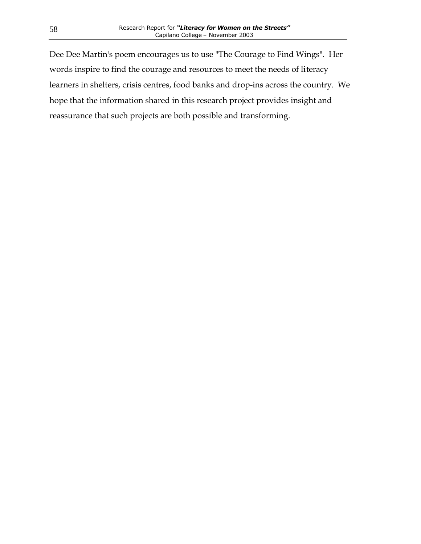Dee Dee Martin's poem encourages us to use "The Courage to Find Wings". Her words inspire to find the courage and resources to meet the needs of literacy learners in shelters, crisis centres, food banks and drop-ins across the country. We hope that the information shared in this research project provides insight and reassurance that such projects are both possible and transforming.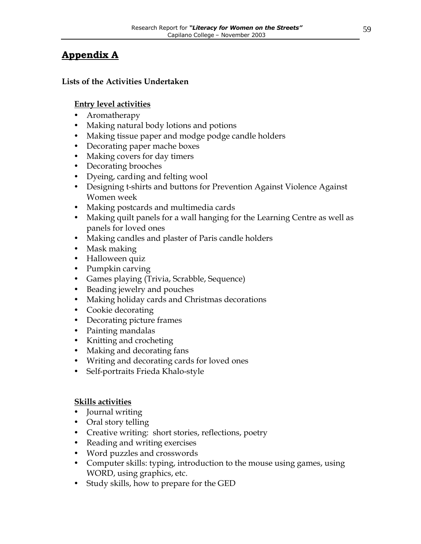## <span id="page-59-0"></span>**Appendix A**

#### **Lists of the Activities Undertaken**

#### **Entry level activities**

- Aromatherapy
- Making natural body lotions and potions
- Making tissue paper and modge podge candle holders
- Decorating paper mache boxes
- Making covers for day timers
- Decorating brooches
- Dyeing, carding and felting wool
- Designing t-shirts and buttons for Prevention Against Violence Against Women week
- Making postcards and multimedia cards
- Making quilt panels for a wall hanging for the Learning Centre as well as panels for loved ones
- Making candles and plaster of Paris candle holders
- Mask making
- Halloween quiz
- Pumpkin carving
- Games playing (Trivia, Scrabble, Sequence)
- Beading jewelry and pouches
- Making holiday cards and Christmas decorations
- Cookie decorating
- Decorating picture frames
- Painting mandalas
- Knitting and crocheting
- Making and decorating fans
- Writing and decorating cards for loved ones
- Self-portraits Frieda Khalo-style

#### **Skills activities**

- Journal writing
- Oral story telling
- Creative writing: short stories, reflections, poetry
- Reading and writing exercises
- Word puzzles and crosswords
- Computer skills: typing, introduction to the mouse using games, using WORD, using graphics, etc.
- Study skills, how to prepare for the GED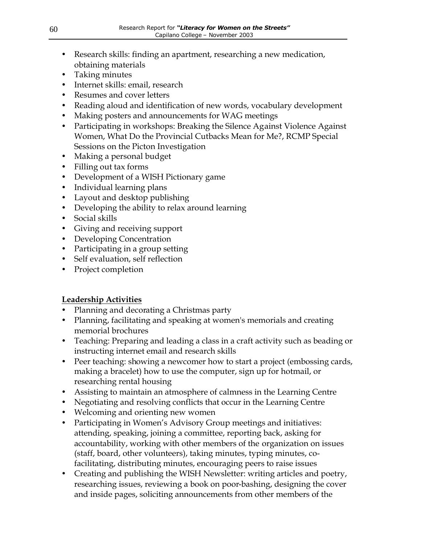- Research skills: finding an apartment, researching a new medication, obtaining materials
- Taking minutes
- Internet skills: email, research
- Resumes and cover letters
- Reading aloud and identification of new words, vocabulary development
- Making posters and announcements for WAG meetings
- Participating in workshops: Breaking the Silence Against Violence Against Women, What Do the Provincial Cutbacks Mean for Me?, RCMP Special Sessions on the Picton Investigation
- Making a personal budget
- Filling out tax forms
- Development of a WISH Pictionary game
- Individual learning plans
- Layout and desktop publishing
- Developing the ability to relax around learning
- Social skills
- Giving and receiving support
- Developing Concentration
- Participating in a group setting
- Self evaluation, self reflection
- Project completion

## **Leadership Activities**

- Planning and decorating a Christmas party
- Planning, facilitating and speaking at women's memorials and creating memorial brochures
- Teaching: Preparing and leading a class in a craft activity such as beading or instructing internet email and research skills
- Peer teaching: showing a newcomer how to start a project (embossing cards, making a bracelet) how to use the computer, sign up for hotmail, or researching rental housing
- Assisting to maintain an atmosphere of calmness in the Learning Centre
- Negotiating and resolving conflicts that occur in the Learning Centre
- Welcoming and orienting new women
- Participating in Women's Advisory Group meetings and initiatives: attending, speaking, joining a committee, reporting back, asking for accountability, working with other members of the organization on issues (staff, board, other volunteers), taking minutes, typing minutes, cofacilitating, distributing minutes, encouraging peers to raise issues
- Creating and publishing the WISH Newsletter: writing articles and poetry, researching issues, reviewing a book on poor-bashing, designing the cover and inside pages, soliciting announcements from other members of the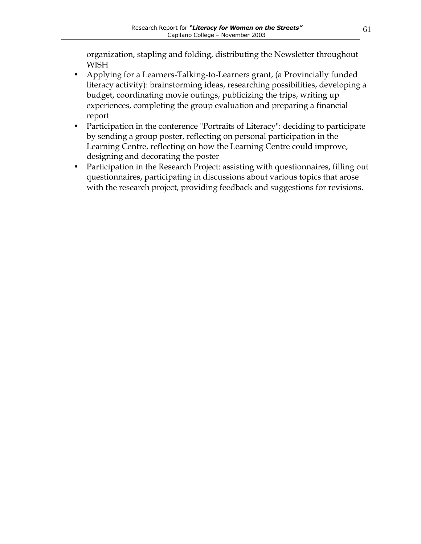organization, stapling and folding, distributing the Newsletter throughout **WISH** 

- Applying for a Learners-Talking-to-Learners grant, (a Provincially funded literacy activity): brainstorming ideas, researching possibilities, developing a budget, coordinating movie outings, publicizing the trips, writing up experiences, completing the group evaluation and preparing a financial report
- Participation in the conference "Portraits of Literacy": deciding to participate by sending a group poster, reflecting on personal participation in the Learning Centre, reflecting on how the Learning Centre could improve, designing and decorating the poster
- Participation in the Research Project: assisting with questionnaires, filling out questionnaires, participating in discussions about various topics that arose with the research project, providing feedback and suggestions for revisions.